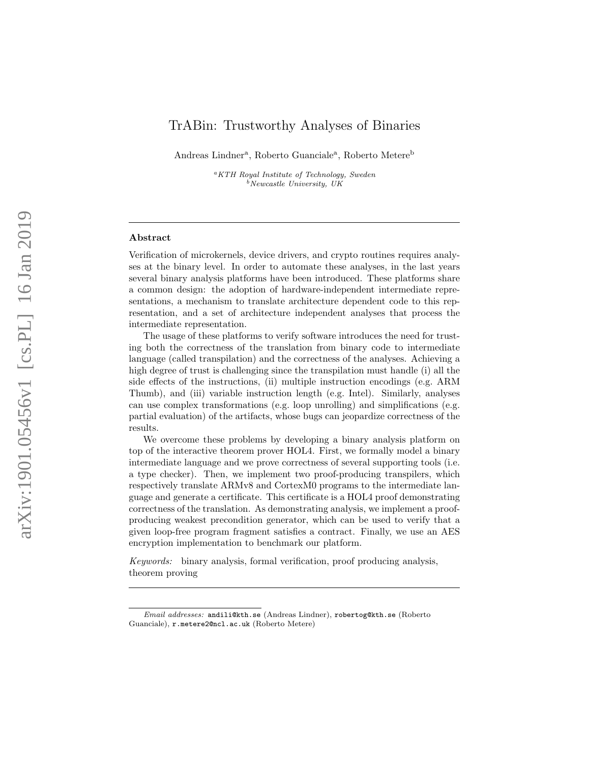# TrABin: Trustworthy Analyses of Binaries

Andreas Lindner<sup>a</sup>, Roberto Guanciale<sup>a</sup>, Roberto Metere<sup>b</sup>

 ${}^{a}KTH$  Royal Institute of Technology, Sweden  $b$ Newcastle University, UK

#### Abstract

Verification of microkernels, device drivers, and crypto routines requires analyses at the binary level. In order to automate these analyses, in the last years several binary analysis platforms have been introduced. These platforms share a common design: the adoption of hardware-independent intermediate representations, a mechanism to translate architecture dependent code to this representation, and a set of architecture independent analyses that process the intermediate representation.

The usage of these platforms to verify software introduces the need for trusting both the correctness of the translation from binary code to intermediate language (called transpilation) and the correctness of the analyses. Achieving a high degree of trust is challenging since the transpilation must handle (i) all the side effects of the instructions, (ii) multiple instruction encodings (e.g. ARM Thumb), and (iii) variable instruction length (e.g. Intel). Similarly, analyses can use complex transformations (e.g. loop unrolling) and simplifications (e.g. partial evaluation) of the artifacts, whose bugs can jeopardize correctness of the results.

We overcome these problems by developing a binary analysis platform on top of the interactive theorem prover HOL4. First, we formally model a binary intermediate language and we prove correctness of several supporting tools (i.e. a type checker). Then, we implement two proof-producing transpilers, which respectively translate ARMv8 and CortexM0 programs to the intermediate language and generate a certificate. This certificate is a HOL4 proof demonstrating correctness of the translation. As demonstrating analysis, we implement a proofproducing weakest precondition generator, which can be used to verify that a given loop-free program fragment satisfies a contract. Finally, we use an AES encryption implementation to benchmark our platform.

Keywords: binary analysis, formal verification, proof producing analysis, theorem proving

Email addresses: andili@kth.se (Andreas Lindner), robertog@kth.se (Roberto Guanciale), r.metere2@ncl.ac.uk (Roberto Metere)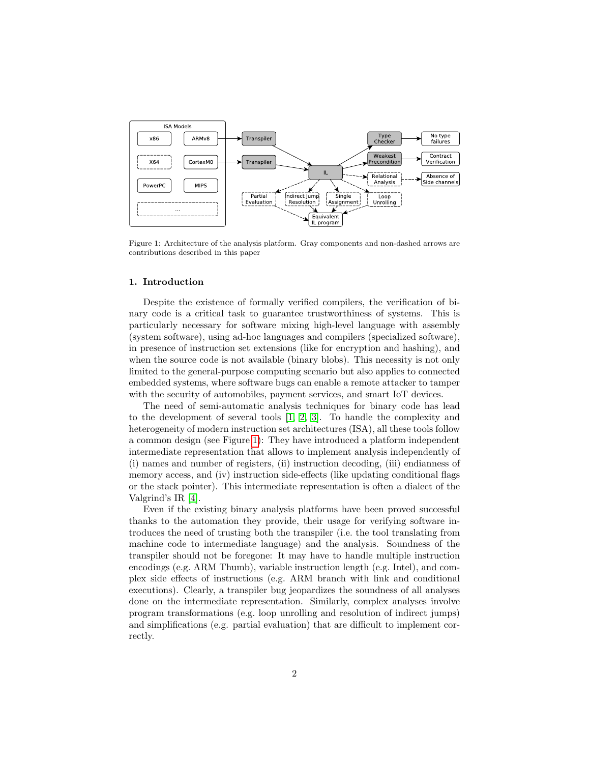

<span id="page-1-0"></span>Figure 1: Architecture of the analysis platform. Gray components and non-dashed arrows are contributions described in this paper

#### 1. Introduction

Despite the existence of formally verified compilers, the verification of binary code is a critical task to guarantee trustworthiness of systems. This is particularly necessary for software mixing high-level language with assembly (system software), using ad-hoc languages and compilers (specialized software), in presence of instruction set extensions (like for encryption and hashing), and when the source code is not available (binary blobs). This necessity is not only limited to the general-purpose computing scenario but also applies to connected embedded systems, where software bugs can enable a remote attacker to tamper with the security of automobiles, payment services, and smart IoT devices.

The need of semi-automatic analysis techniques for binary code has lead to the development of several tools [\[1,](#page-28-0) [2,](#page-28-1) [3\]](#page-29-0). To handle the complexity and heterogeneity of modern instruction set architectures (ISA), all these tools follow a common design (see Figure [1\)](#page-1-0): They have introduced a platform independent intermediate representation that allows to implement analysis independently of (i) names and number of registers, (ii) instruction decoding, (iii) endianness of memory access, and (iv) instruction side-effects (like updating conditional flags or the stack pointer). This intermediate representation is often a dialect of the Valgrind's IR [\[4\]](#page-29-1).

Even if the existing binary analysis platforms have been proved successful thanks to the automation they provide, their usage for verifying software introduces the need of trusting both the transpiler (i.e. the tool translating from machine code to intermediate language) and the analysis. Soundness of the transpiler should not be foregone: It may have to handle multiple instruction encodings (e.g. ARM Thumb), variable instruction length (e.g. Intel), and complex side effects of instructions (e.g. ARM branch with link and conditional executions). Clearly, a transpiler bug jeopardizes the soundness of all analyses done on the intermediate representation. Similarly, complex analyses involve program transformations (e.g. loop unrolling and resolution of indirect jumps) and simplifications (e.g. partial evaluation) that are difficult to implement correctly.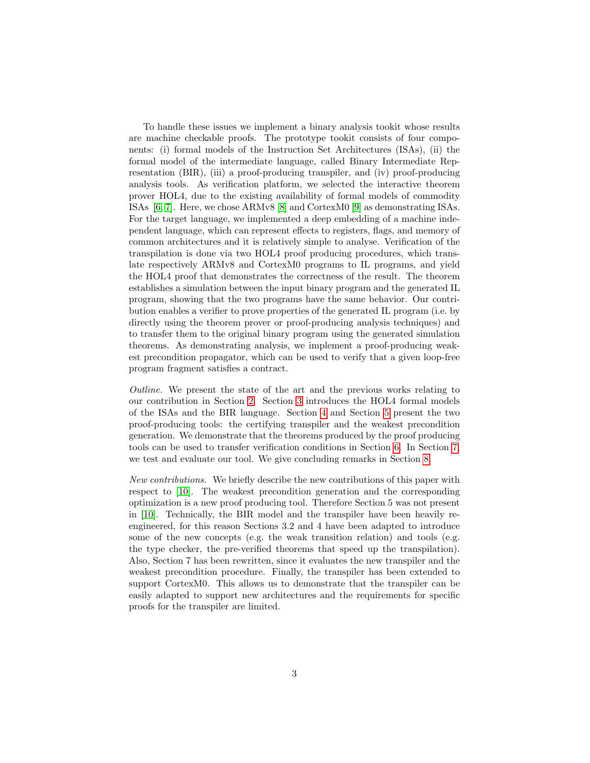To handle these issues we implement a binary analysis tookit whose results are machine checkable proofs. The prototype tookit consists of four components: (i) formal models of the Instruction Set Architectures (ISAs), (ii) the formal model of the intermediate language, called Binary Intermediate Representation (BIR), (iii) a proof-producing transpiler, and (iv) proof-producing analysis tools. As verification platform, we selected the interactive theorem prover HOL4, due to the existing availability of formal models of commodity ISAs [\[6,](#page-29-2) [7\]](#page-29-3). Here, we chose ARMv8 [\[8\]](#page-29-4) and CortexM0 [\[9\]](#page-29-5) as demonstrating ISAs. For the target language, we implemented a deep embedding of a machine independent language, which can represent effects to registers, flags, and memory of common architectures and it is relatively simple to analyse. Verification of the transpilation is done via two HOL4 proof producing procedures, which translate respectively ARMv8 and CortexM0 programs to IL programs, and yield the HOL4 proof that demonstrates the correctness of the result. The theorem establishes a simulation between the input binary program and the generated IL program, showing that the two programs have the same behavior. Our contribution enables a verifier to prove properties of the generated IL program (i.e. by directly using the theorem prover or proof-producing analysis techniques) and to transfer them to the original binary program using the generated simulation theorems. As demonstrating analysis, we implement a proof-producing weakest precondition propagator, which can be used to verify that a given loop-free program fragment satisfies a contract.

Outline. We present the state of the art and the previous works relating to our contribution in Section [2.](#page-3-0) Section [3](#page-4-0) introduces the HOL4 formal models of the ISAs and the BIR language. Section [4](#page-9-0) and Section [5](#page-16-0) present the two proof-producing tools: the certifying transpiler and the weakest precondition generation. We demonstrate that the theorems produced by the proof producing tools can be used to transfer verification conditions in Section [6.](#page-21-0) In Section [7,](#page-23-0) we test and evaluate our tool. We give concluding remarks in Section [8.](#page-27-0)

New contributions. We briefly describe the new contributions of this paper with respect to [\[10\]](#page-29-6). The weakest precondition generation and the corresponding optimization is a new proof producing tool. Therefore Section 5 was not present in [\[10\]](#page-29-6). Technically, the BIR model and the transpiler have been heavily reengineered, for this reason Sections 3.2 and 4 have been adapted to introduce some of the new concepts (e.g. the weak transition relation) and tools (e.g. the type checker, the pre-verified theorems that speed up the transpilation). Also, Section 7 has been rewritten, since it evaluates the new transpiler and the weakest precondition procedure. Finally, the transpiler has been extended to support CortexM0. This allows us to demonstrate that the transpiler can be easily adapted to support new architectures and the requirements for specific proofs for the transpiler are limited.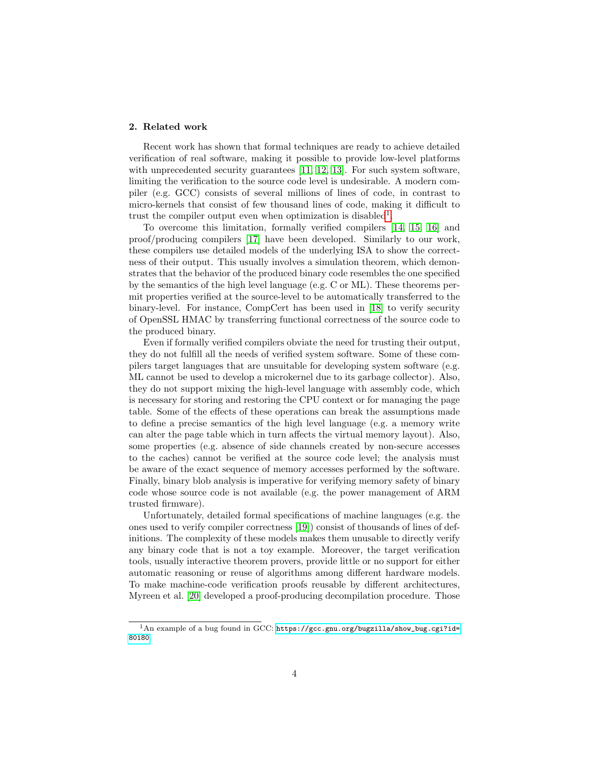## <span id="page-3-0"></span>2. Related work

Recent work has shown that formal techniques are ready to achieve detailed verification of real software, making it possible to provide low-level platforms with unprecedented security guarantees [\[11,](#page-29-7) [12,](#page-29-8) [13\]](#page-29-9). For such system software, limiting the verification to the source code level is undesirable. A modern compiler (e.g. GCC) consists of several millions of lines of code, in contrast to micro-kernels that consist of few thousand lines of code, making it difficult to trust the compiler output even when optimization is disabled<sup>[1](#page-3-1)</sup>.

To overcome this limitation, formally verified compilers [\[14,](#page-29-10) [15,](#page-29-11) [16\]](#page-30-0) and proof/producing compilers [\[17\]](#page-30-1) have been developed. Similarly to our work, these compilers use detailed models of the underlying ISA to show the correctness of their output. This usually involves a simulation theorem, which demonstrates that the behavior of the produced binary code resembles the one specified by the semantics of the high level language (e.g. C or ML). These theorems permit properties verified at the source-level to be automatically transferred to the binary-level. For instance, CompCert has been used in [\[18\]](#page-30-2) to verify security of OpenSSL HMAC by transferring functional correctness of the source code to the produced binary.

Even if formally verified compilers obviate the need for trusting their output, they do not fulfill all the needs of verified system software. Some of these compilers target languages that are unsuitable for developing system software (e.g. ML cannot be used to develop a microkernel due to its garbage collector). Also, they do not support mixing the high-level language with assembly code, which is necessary for storing and restoring the CPU context or for managing the page table. Some of the effects of these operations can break the assumptions made to define a precise semantics of the high level language (e.g. a memory write can alter the page table which in turn affects the virtual memory layout). Also, some properties (e.g. absence of side channels created by non-secure accesses to the caches) cannot be verified at the source code level; the analysis must be aware of the exact sequence of memory accesses performed by the software. Finally, binary blob analysis is imperative for verifying memory safety of binary code whose source code is not available (e.g. the power management of ARM trusted firmware).

Unfortunately, detailed formal specifications of machine languages (e.g. the ones used to verify compiler correctness [\[19\]](#page-30-3)) consist of thousands of lines of definitions. The complexity of these models makes them unusable to directly verify any binary code that is not a toy example. Moreover, the target verification tools, usually interactive theorem provers, provide little or no support for either automatic reasoning or reuse of algorithms among different hardware models. To make machine-code verification proofs reusable by different architectures, Myreen et al. [\[20\]](#page-30-4) developed a proof-producing decompilation procedure. Those

<span id="page-3-1"></span><sup>&</sup>lt;sup>1</sup>An example of a bug found in GCC: [https://gcc.gnu.org/bugzilla/show\\_bug.cgi?id=](https://gcc.gnu.org/bugzilla/show_bug.cgi?id=80180) [80180](https://gcc.gnu.org/bugzilla/show_bug.cgi?id=80180)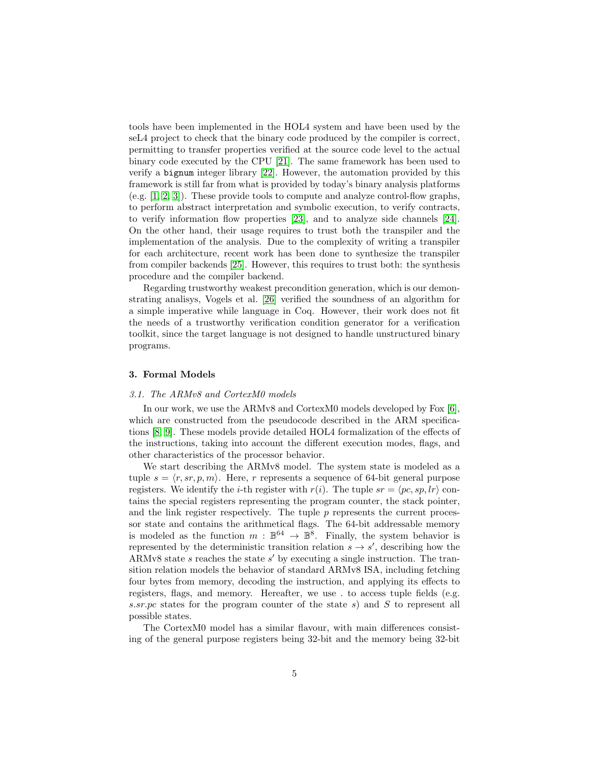tools have been implemented in the HOL4 system and have been used by the seL4 project to check that the binary code produced by the compiler is correct, permitting to transfer properties verified at the source code level to the actual binary code executed by the CPU [\[21\]](#page-30-5). The same framework has been used to verify a bignum integer library [\[22\]](#page-30-6). However, the automation provided by this framework is still far from what is provided by today's binary analysis platforms (e.g. [\[1,](#page-28-0) [2,](#page-28-1) [3\]](#page-29-0)). These provide tools to compute and analyze control-flow graphs, to perform abstract interpretation and symbolic execution, to verify contracts, to verify information flow properties [\[23\]](#page-30-7), and to analyze side channels [\[24\]](#page-30-8). On the other hand, their usage requires to trust both the transpiler and the implementation of the analysis. Due to the complexity of writing a transpiler for each architecture, recent work has been done to synthesize the transpiler from compiler backends [\[25\]](#page-30-9). However, this requires to trust both: the synthesis procedure and the compiler backend.

Regarding trustworthy weakest precondition generation, which is our demonstrating analisys, Vogels et al. [\[26\]](#page-30-10) verified the soundness of an algorithm for a simple imperative while language in Coq. However, their work does not fit the needs of a trustworthy verification condition generator for a verification toolkit, since the target language is not designed to handle unstructured binary programs.

#### <span id="page-4-0"></span>3. Formal Models

#### <span id="page-4-1"></span>3.1. The ARMv8 and CortexM0 models

In our work, we use the ARMv8 and CortexM0 models developed by Fox [\[6\]](#page-29-2), which are constructed from the pseudocode described in the ARM specifications [\[8,](#page-29-4) [9\]](#page-29-5). These models provide detailed HOL4 formalization of the effects of the instructions, taking into account the different execution modes, flags, and other characteristics of the processor behavior.

We start describing the ARMv8 model. The system state is modeled as a tuple  $s = \langle r, sr, p, m \rangle$ . Here, r represents a sequence of 64-bit general purpose registers. We identify the *i*-th register with  $r(i)$ . The tuple  $sr = \langle pc, sp, lr \rangle$  contains the special registers representing the program counter, the stack pointer, and the link register respectively. The tuple  $p$  represents the current processor state and contains the arithmetical flags. The 64-bit addressable memory is modeled as the function  $m : \mathbb{B}^{64} \to \mathbb{B}^{8}$ . Finally, the system behavior is represented by the deterministic transition relation  $s \rightarrow s'$ , describing how the ARMv8 state  $s$  reaches the state  $s'$  by executing a single instruction. The transition relation models the behavior of standard ARMv8 ISA, including fetching four bytes from memory, decoding the instruction, and applying its effects to registers, flags, and memory. Hereafter, we use . to access tuple fields (e.g. s.sr.pc states for the program counter of the state s) and S to represent all possible states.

The CortexM0 model has a similar flavour, with main differences consisting of the general purpose registers being 32-bit and the memory being 32-bit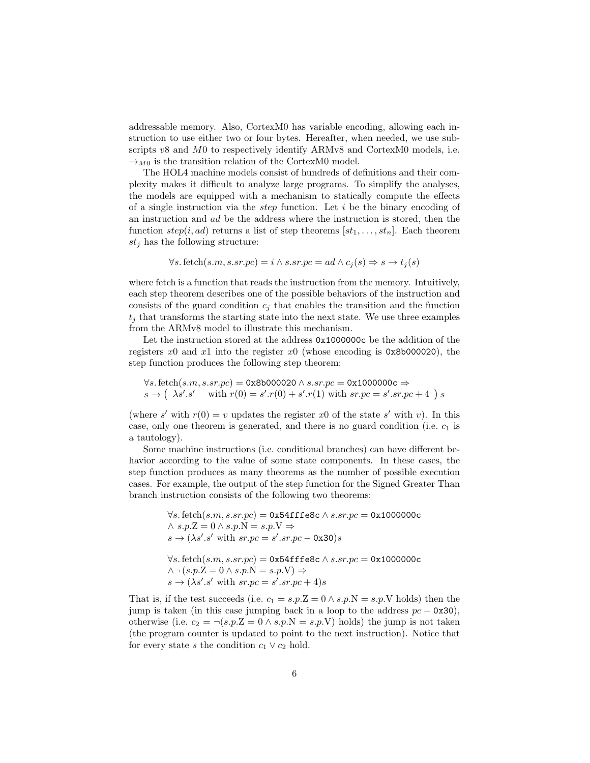addressable memory. Also, CortexM0 has variable encoding, allowing each instruction to use either two or four bytes. Hereafter, when needed, we use subscripts v8 and M0 to respectively identify ARMv8 and CortexM0 models, i.e.  $\rightarrow_{M_0}$  is the transition relation of the CortexM0 model.

The HOL4 machine models consist of hundreds of definitions and their complexity makes it difficult to analyze large programs. To simplify the analyses, the models are equipped with a mechanism to statically compute the effects of a single instruction via the step function. Let i be the binary encoding of an instruction and ad be the address where the instruction is stored, then the function  $step(i, ad)$  returns a list of step theorems  $[st_1, \ldots, st_n]$ . Each theorem  $st_j$  has the following structure:

$$
\forall s. \text{ fetch}(s.m, s.sr.pc) = i \land s.sr.pc = ad \land c_j(s) \Rightarrow s \to t_j(s)
$$

where fetch is a function that reads the instruction from the memory. Intuitively, each step theorem describes one of the possible behaviors of the instruction and consists of the guard condition  $c_j$  that enables the transition and the function  $t_i$  that transforms the starting state into the next state. We use three examples from the ARMv8 model to illustrate this mechanism.

Let the instruction stored at the address 0x1000000c be the addition of the registers x0 and x1 into the register x0 (whose encoding is  $0 \times 86000020$ ), the step function produces the following step theorem:

$$
\forall s. \text{ fetch}(s.m, s.sr.pc) = 0 \times 86000020 \land s.sr.pc = 0 \times 1000000c \Rightarrow
$$
  

$$
s \to (\lambda s'.s' \text{ with } r(0) = s'.r(0) + s'.r(1) \text{ with } sr.pc = s'.sr.pc + 4 ) s
$$

(where s' with  $r(0) = v$  updates the register x0 of the state s' with v). In this case, only one theorem is generated, and there is no guard condition (i.e.  $c_1$  is a tautology).

Some machine instructions (i.e. conditional branches) can have different behavior according to the value of some state components. In these cases, the step function produces as many theorems as the number of possible execution cases. For example, the output of the step function for the Signed Greater Than branch instruction consists of the following two theorems:

$$
\forall s.\ \text{ fetch}(s.m, s.sr.pc) = 0 \times 54 \text{fffe8c} \land s.sr.pc = 0 \times 1000000 \text{c}
$$
\n
$$
\land \ s.p.Z = 0 \land s.p.N = s.p.V \Rightarrow
$$
\n
$$
s \rightarrow (\lambda s'.s' \text{ with } sr.pc = s'.sr.pc - 0 \times 30)s
$$
\n
$$
\forall s.\ \text{ fetch}(s.m, s.sr.pc) = 0 \times 54 \text{fffe8c} \land s.sr.pc = 0 \times 1000000 \text{c}
$$
\n
$$
\land \neg (s.p.Z = 0 \land s.p.N = s.p.V) \Rightarrow
$$
\n
$$
s \rightarrow (\lambda s'.s' \text{ with } sr.pc = s'.sr.pc + 4)s
$$

That is, if the test succeeds (i.e.  $c_1 = s.p.Z = 0 \land s.p.N = s.p.V$  holds) then the jump is taken (in this case jumping back in a loop to the address  $pc - 0x30$ ), otherwise (i.e.  $c_2 = \neg(s.p.Z = 0 \land s.p.N = s.p.V)$  holds) the jump is not taken (the program counter is updated to point to the next instruction). Notice that for every state s the condition  $c_1 \vee c_2$  hold.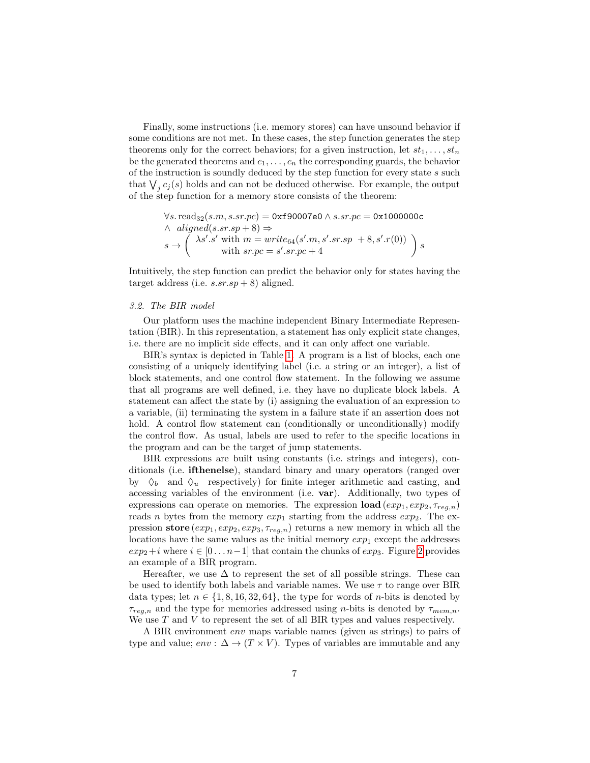Finally, some instructions (i.e. memory stores) can have unsound behavior if some conditions are not met. In these cases, the step function generates the step theorems only for the correct behaviors; for a given instruction, let  $st_1, \ldots, st_n$ be the generated theorems and  $c_1, \ldots, c_n$  the corresponding guards, the behavior of the instruction is soundly deduced by the step function for every state  $s$  such that  $\bigvee_j c_j(s)$  holds and can not be deduced otherwise. For example, the output of the step function for a memory store consists of the theorem:

```
\forall s.\,\text{read}_{32}(s.m, s.sr.pc) = 0 \text{xf} 90007e0 \land s.sr.pc = 0 \text{xf} 1000000c\land aligned(s.sr.sp + 8) \Rightarrows \to \left( \begin{array}{c} \lambda s'.s' \text{ with } m = write_{64}(s'.m, s'.sr.sp_{} + 8, s'.r(0)) \\ \text{with } smn \in \mathbb{R} \setminus \{0\} \end{array} \right)with m = write_{64}(s'.m, s'.sr(sp + 8, s'.r(0)))<br>with sr.pc = s'.sr.pc + 4
```
Intuitively, the step function can predict the behavior only for states having the target address (i.e.  $s.sr(sp + 8)$  aligned.

#### 3.2. The BIR model

Our platform uses the machine independent Binary Intermediate Representation (BIR). In this representation, a statement has only explicit state changes, i.e. there are no implicit side effects, and it can only affect one variable.

BIR's syntax is depicted in Table [1.](#page-7-0) A program is a list of blocks, each one consisting of a uniquely identifying label (i.e. a string or an integer), a list of block statements, and one control flow statement. In the following we assume that all programs are well defined, i.e. they have no duplicate block labels. A statement can affect the state by (i) assigning the evaluation of an expression to a variable, (ii) terminating the system in a failure state if an assertion does not hold. A control flow statement can (conditionally or unconditionally) modify the control flow. As usual, labels are used to refer to the specific locations in the program and can be the target of jump statements.

BIR expressions are built using constants (i.e. strings and integers), conditionals (i.e. ifthenelse), standard binary and unary operators (ranged over by  $\Diamond_b$  and  $\Diamond_u$  respectively) for finite integer arithmetic and casting, and accessing variables of the environment (i.e. var). Additionally, two types of expressions can operate on memories. The expression **load**  $(exp_1, exp_2, \tau_{rea.}n)$ reads n bytes from the memory  $exp_1$  starting from the address  $exp_2$ . The expression store  $(exp_1, exp_2, exp_3, \tau_{reg,n})$  returns a new memory in which all the locations have the same values as the initial memory  $exp_1$  except the addresses  $exp_2 + i$  where  $i \in [0 \dots n-1]$  that contain the chunks of  $exp_3$ . Figure [2](#page-8-0) provides an example of a BIR program.

Hereafter, we use  $\Delta$  to represent the set of all possible strings. These can be used to identify both labels and variable names. We use  $\tau$  to range over BIR data types; let  $n \in \{1, 8, 16, 32, 64\}$ , the type for words of *n*-bits is denoted by  $\tau_{reg,n}$  and the type for memories addressed using *n*-bits is denoted by  $\tau_{mem,n}$ . We use  $T$  and  $V$  to represent the set of all BIR types and values respectively.

A BIR environment env maps variable names (given as strings) to pairs of type and value;  $env : \Delta \to (T \times V)$ . Types of variables are immutable and any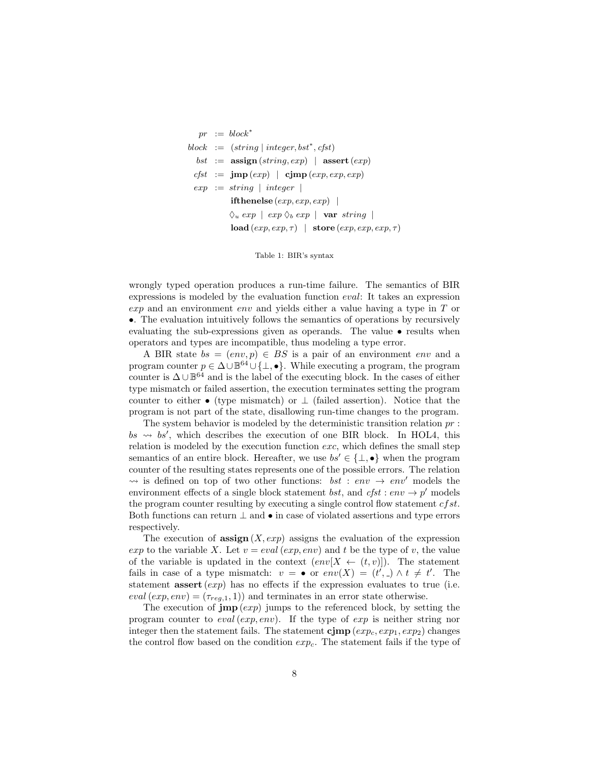```
pr := block^*block := (string \mid integer, bst^*, cfst)bst := \operatorname{assign}(string, exp) \mid \operatorname{assert}(exp)cfst := \text{imp}(exp) \mid \text{cimp}(exp, exp, exp)exp := string \mid integer \midif thenelse (exp, exp, exp) |
             \Diamond_u exp \ \vert exp \Diamond_b exp \ \vert var string |
             load (exp, exp, \tau) | store (exp, exp, exp, \tau)
```
wrongly typed operation produces a run-time failure. The semantics of BIR expressions is modeled by the evaluation function eval: It takes an expression exp and an environment env and yields either a value having a type in T or •. The evaluation intuitively follows the semantics of operations by recursively evaluating the sub-expressions given as operands. The value • results when operators and types are incompatible, thus modeling a type error.

A BIR state  $bs = (env, p) \in BS$  is a pair of an environment env and a program counter  $p \in \Delta \cup \mathbb{B}^{64} \cup \{\perp, \bullet\}.$  While executing a program, the program counter is  $\Delta \cup \mathbb{B}^{64}$  and is the label of the executing block. In the cases of either type mismatch or failed assertion, the execution terminates setting the program counter to either • (type mismatch) or  $\perp$  (failed assertion). Notice that the program is not part of the state, disallowing run-time changes to the program.

The system behavior is modeled by the deterministic transition relation  $pr$ :  $bs \rightsquigarrow bs'$ , which describes the execution of one BIR block. In HOL4, this relation is modeled by the execution function exc, which defines the small step semantics of an entire block. Hereafter, we use  $bs' \in \{\perp, \bullet\}$  when the program counter of the resulting states represents one of the possible errors. The relation  $\rightarrow$  is defined on top of two other functions: bst: env  $\rightarrow$  env' models the environment effects of a single block statement *bst*, and  $cfst: env \rightarrow p'$  models the program counter resulting by executing a single control flow statement  $cfst$ . Both functions can return  $\perp$  and • in case of violated assertions and type errors respectively.

The execution of  $\mathbf{assign}(X, exp)$  assigns the evaluation of the expression exp to the variable X. Let  $v = eval(exp, env)$  and t be the type of v, the value of the variable is updated in the context  $(env[X \leftarrow (t, v)])$ . The statement fails in case of a type mismatch:  $v = \bullet$  or  $env(X) = (t',.) \land t \neq t'$ . The statement **assert**  $(exp)$  has no effects if the expression evaluates to true (i.e.  $eval(exp, env) = (\tau_{reg,1}, 1)$  and terminates in an error state otherwise.

The execution of  $\text{imp}(exp)$  jumps to the referenced block, by setting the program counter to  $eval(exp, env)$ . If the type of  $exp$  is neither string nor integer then the statement fails. The statement  $\text{cimp} (exp_c, exp_1, exp_2)$  changes the control flow based on the condition  $exp_c$ . The statement fails if the type of

<span id="page-7-0"></span>Table 1: BIR's syntax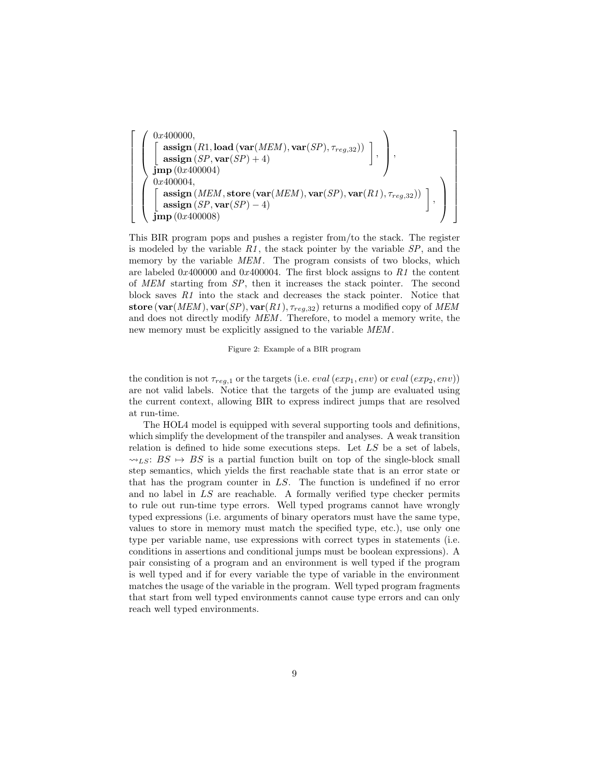$$
\left[\left(\begin{array}{c}\n0x400000, \\
\text{assign } (R1, \text{load }(\text{var}(MEM), \text{var}(SP), \tau_{reg, 32})) \\
\text{assign } (SP, \text{var}(SP) + 4) \\
\text{imp } (0x400004) \\
0x400004, \\
\text{assign } (MEM, \text{store }(\text{var}(MEM), \text{var}(SP), \text{var}(R1), \tau_{reg, 32})) \\
\text{sing } (0x400008)\n\end{array}\right],\right]
$$

This BIR program pops and pushes a register from/to the stack. The register is modeled by the variable  $R1$ , the stack pointer by the variable  $SP$ , and the memory by the variable MEM. The program consists of two blocks, which are labeled  $0x400000$  and  $0x400004$ . The first block assigns to R1 the content of MEM starting from SP, then it increases the stack pointer. The second block saves R1 into the stack and decreases the stack pointer. Notice that store (var(MEM), var(SP), var(R1),  $\tau_{reg,32}$ ) returns a modified copy of MEM and does not directly modify MEM . Therefore, to model a memory write, the new memory must be explicitly assigned to the variable  $MEM$ .

#### <span id="page-8-0"></span>Figure 2: Example of a BIR program

the condition is not  $\tau_{req,1}$  or the targets (i.e. *eval* (*exp<sub>1</sub>, env*) or *eval* (*exp<sub>2</sub>, env*)) are not valid labels. Notice that the targets of the jump are evaluated using the current context, allowing BIR to express indirect jumps that are resolved at run-time.

The HOL4 model is equipped with several supporting tools and definitions, which simplify the development of the transpiler and analyses. A weak transition relation is defined to hide some executions steps. Let LS be a set of labels,  $\rightsquigarrow_{LS}: BS \mapsto BS$  is a partial function built on top of the single-block small step semantics, which yields the first reachable state that is an error state or that has the program counter in LS. The function is undefined if no error and no label in LS are reachable. A formally verified type checker permits to rule out run-time type errors. Well typed programs cannot have wrongly typed expressions (i.e. arguments of binary operators must have the same type, values to store in memory must match the specified type, etc.), use only one type per variable name, use expressions with correct types in statements (i.e. conditions in assertions and conditional jumps must be boolean expressions). A pair consisting of a program and an environment is well typed if the program is well typed and if for every variable the type of variable in the environment matches the usage of the variable in the program. Well typed program fragments that start from well typed environments cannot cause type errors and can only reach well typed environments.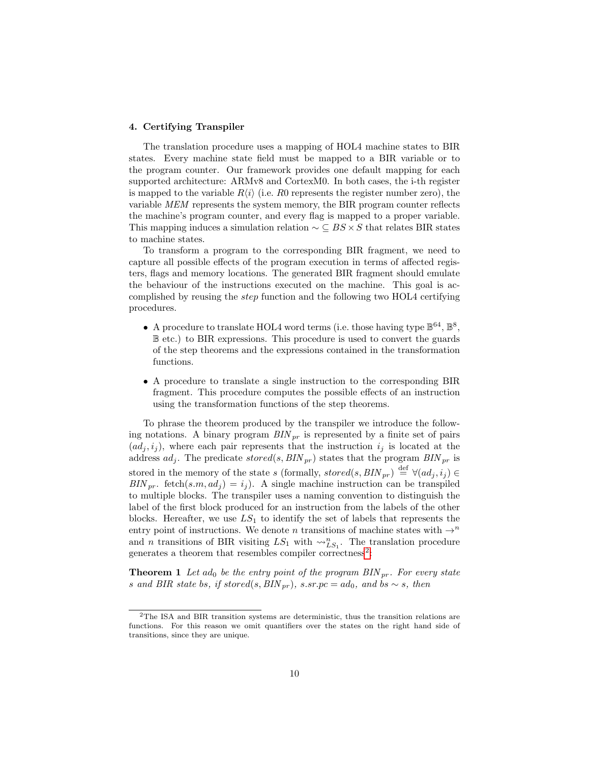## <span id="page-9-0"></span>4. Certifying Transpiler

The translation procedure uses a mapping of HOL4 machine states to BIR states. Every machine state field must be mapped to a BIR variable or to the program counter. Our framework provides one default mapping for each supported architecture: ARMv8 and CortexM0. In both cases, the i-th register is mapped to the variable  $R(i)$  (i.e. R0 represents the register number zero), the variable MEM represents the system memory, the BIR program counter reflects the machine's program counter, and every flag is mapped to a proper variable. This mapping induces a simulation relation  $\sim \subseteq BS \times S$  that relates BIR states to machine states.

To transform a program to the corresponding BIR fragment, we need to capture all possible effects of the program execution in terms of affected registers, flags and memory locations. The generated BIR fragment should emulate the behaviour of the instructions executed on the machine. This goal is accomplished by reusing the step function and the following two HOL4 certifying procedures.

- A procedure to translate HOL4 word terms (i.e. those having type  $\mathbb{B}^{64}$ ,  $\mathbb{B}^{8}$ , B etc.) to BIR expressions. This procedure is used to convert the guards of the step theorems and the expressions contained in the transformation functions.
- A procedure to translate a single instruction to the corresponding BIR fragment. This procedure computes the possible effects of an instruction using the transformation functions of the step theorems.

To phrase the theorem produced by the transpiler we introduce the following notations. A binary program  $BIN_{pr}$  is represented by a finite set of pairs  $(ad_i, i_j)$ , where each pair represents that the instruction  $i_j$  is located at the address  $ad_j$ . The predicate stored(s, BIN<sub>pr</sub>) states that the program BIN<sub>pr</sub> is stored in the memory of the state s (formally, stored(s,  $BIN_{pr}$ )  $\stackrel{\text{def}}{=} \forall (ad_j, i_j) \in$  $BIN_{pr.}$  fetch $(s.m, ad_j) = i_j$ ). A single machine instruction can be transpiled to multiple blocks. The transpiler uses a naming convention to distinguish the label of the first block produced for an instruction from the labels of the other blocks. Hereafter, we use  $LS_1$  to identify the set of labels that represents the entry point of instructions. We denote n transitions of machine states with  $\rightarrow^n$ and *n* transitions of BIR visiting  $LS_1$  with  $\sim_{LS_1}^n$ . The translation procedure generates a theorem that resembles compiler correctness<sup>[2](#page-9-1)</sup>:

<span id="page-9-2"></span>**Theorem 1** Let  $ad_0$  be the entry point of the program BIN<sub>pr</sub>. For every state s and BIR state bs, if stored(s, BIN<sub>pr</sub>), s.sr.pc = ad<sub>0</sub>, and bs  $\sim$  s, then

<span id="page-9-1"></span><sup>2</sup>The ISA and BIR transition systems are deterministic, thus the transition relations are functions. For this reason we omit quantifiers over the states on the right hand side of transitions, since they are unique.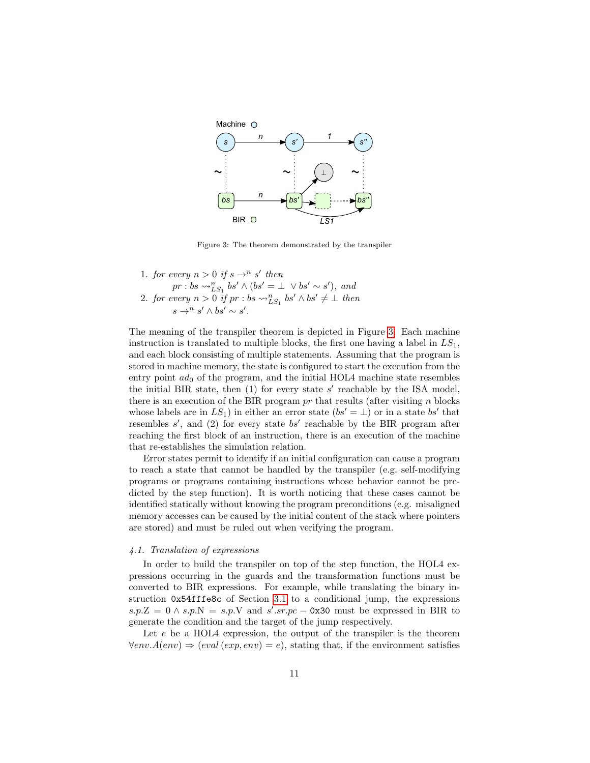

<span id="page-10-0"></span>Figure 3: The theorem demonstrated by the transpiler

1. for every  $n > 0$  if  $s \rightarrow^n s'$  then  $pr : bs \leadsto_{LS_1}^n bs' \wedge (bs' = \bot \vee bs' \sim s')$ , and 2. for every  $n > 0$  if  $pr : bs \leadsto_{LS_1}^n bs' \wedge bs' \neq \bot$  then  $s \to^n s' \wedge bs' \sim s'.$ 

The meaning of the transpiler theorem is depicted in Figure [3.](#page-10-0) Each machine instruction is translated to multiple blocks, the first one having a label in  $LS_1$ , and each block consisting of multiple statements. Assuming that the program is stored in machine memory, the state is configured to start the execution from the entry point  $ad_0$  of the program, and the initial HOL4 machine state resembles the initial BIR state, then  $(1)$  for every state  $s'$  reachable by the ISA model, there is an execution of the BIR program  $pr$  that results (after visiting n blocks whose labels are in  $LS_1$ ) in either an error state  $(bs' = \perp)$  or in a state  $bs'$  that resembles  $s'$ , and (2) for every state  $bs'$  reachable by the BIR program after reaching the first block of an instruction, there is an execution of the machine that re-establishes the simulation relation.

Error states permit to identify if an initial configuration can cause a program to reach a state that cannot be handled by the transpiler (e.g. self-modifying programs or programs containing instructions whose behavior cannot be predicted by the step function). It is worth noticing that these cases cannot be identified statically without knowing the program preconditions (e.g. misaligned memory accesses can be caused by the initial content of the stack where pointers are stored) and must be ruled out when verifying the program.

#### <span id="page-10-1"></span>4.1. Translation of expressions

In order to build the transpiler on top of the step function, the HOL4 expressions occurring in the guards and the transformation functions must be converted to BIR expressions. For example, while translating the binary instruction 0x54fffe8c of Section [3.1](#page-4-1) to a conditional jump, the expressions  $s.p.Z = 0 \land s.p.N = s.p.V$  and  $s'.sr.p.c - 0x30$  must be expressed in BIR to generate the condition and the target of the jump respectively.

Let  $e$  be a HOL4 expression, the output of the transpiler is the theorem  $\forall env.A(\text{env}) \Rightarrow (eval(\text{exp},\text{env}) = e)$ , stating that, if the environment satisfies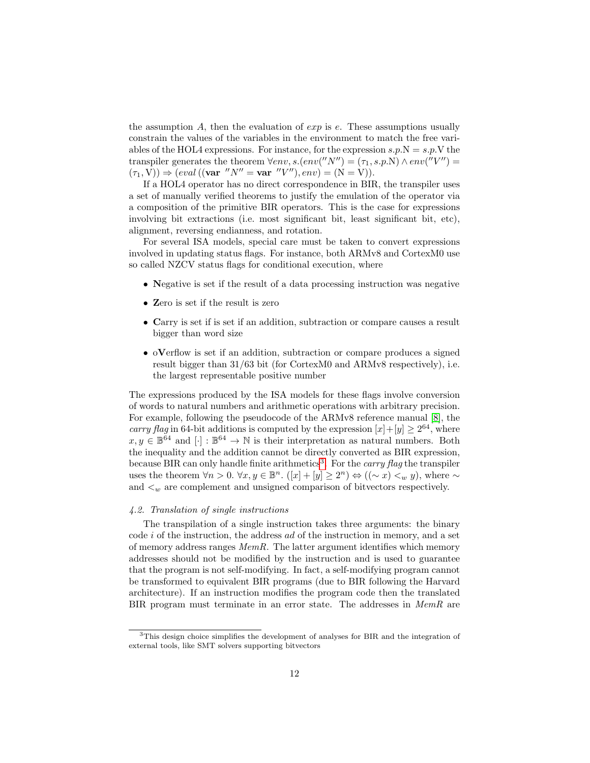the assumption  $A$ , then the evaluation of  $exp$  is  $e$ . These assumptions usually constrain the values of the variables in the environment to match the free variables of the HOL4 expressions. For instance, for the expression  $s.p.N = s.p.V$  the transpiler generates the theorem  $\forall env, s. (env("N") = (\tau_1, s.p.N) \land env("V") =$  $(\tau_1, V)$   $\Rightarrow$   $(eval ((var "N" = var "V"), env) = (N = V)).$ 

If a HOL4 operator has no direct correspondence in BIR, the transpiler uses a set of manually verified theorems to justify the emulation of the operator via a composition of the primitive BIR operators. This is the case for expressions involving bit extractions (i.e. most significant bit, least significant bit, etc), alignment, reversing endianness, and rotation.

For several ISA models, special care must be taken to convert expressions involved in updating status flags. For instance, both ARMv8 and CortexM0 use so called NZCV status flags for conditional execution, where

- Negative is set if the result of a data processing instruction was negative
- Zero is set if the result is zero
- Carry is set if is set if an addition, subtraction or compare causes a result bigger than word size
- oVerflow is set if an addition, subtraction or compare produces a signed result bigger than 31/63 bit (for CortexM0 and ARMv8 respectively), i.e. the largest representable positive number

The expressions produced by the ISA models for these flags involve conversion of words to natural numbers and arithmetic operations with arbitrary precision. For example, following the pseudocode of the ARMv8 reference manual [\[8\]](#page-29-4), the carry flag in 64-bit additions is computed by the expression  $[x]+[y] \geq 2^{64}$ , where  $x, y \in \mathbb{B}^{64}$  and  $[\cdot] : \mathbb{B}^{64} \to \mathbb{N}$  is their interpretation as natural numbers. Both the inequality and the addition cannot be directly converted as BIR expression, because BIR can only handle finite arithmetics<sup>[3](#page-11-0)</sup>. For the *carry flag* the transpiler uses the theorem  $\forall n > 0$ .  $\forall x, y \in \mathbb{B}^n$ .  $([x] + [y] \geq 2^n) \Leftrightarrow ((\sim x) <_w y)$ , where  $\sim$ and  $\lt_w$  are complement and unsigned comparison of bitvectors respectively.

#### <span id="page-11-1"></span>4.2. Translation of single instructions

The transpilation of a single instruction takes three arguments: the binary code i of the instruction, the address ad of the instruction in memory, and a set of memory address ranges  $MemR$ . The latter argument identifies which memory addresses should not be modified by the instruction and is used to guarantee that the program is not self-modifying. In fact, a self-modifying program cannot be transformed to equivalent BIR programs (due to BIR following the Harvard architecture). If an instruction modifies the program code then the translated BIR program must terminate in an error state. The addresses in MemR are

<span id="page-11-0"></span><sup>3</sup>This design choice simplifies the development of analyses for BIR and the integration of external tools, like SMT solvers supporting bitvectors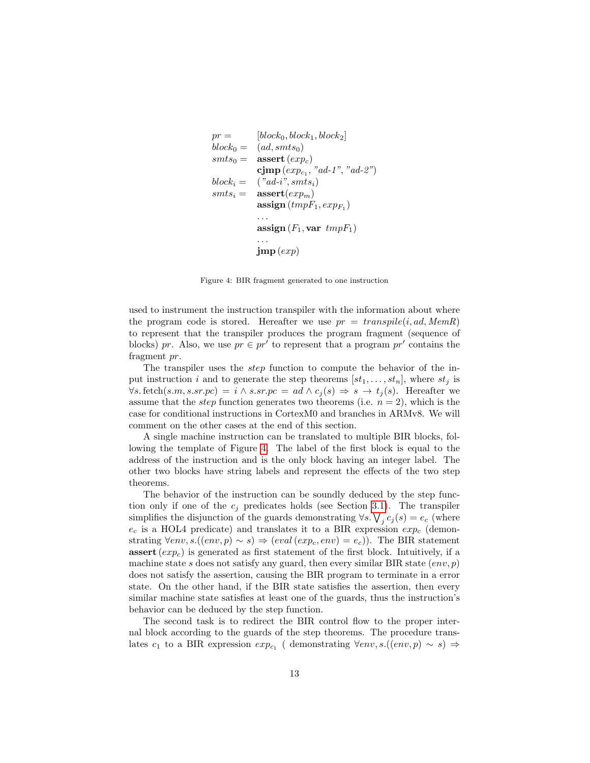$$
\begin{array}{ll} pr=\quad & [block_0, block_1, block_2] \\ block_0=\quad (ad, smts_0) \\ smts_0=\quad \mathbf{assert}\, (exp_c) \\ \mathbf{cimp}\, (exp_{c_1}, \text{"ad-1", "ad-2")} \\ block_i=\quad (\text{"ad-i", smts}_i) \\ smts_i=\quad \mathbf{assert}(exp_m) \\ \mathbf{assign}\,(tmpF_1, exp_{F_1}) \\ \quad \ \ \, \ldots \\ \mathbf{assign}\,(F_1, \mathbf{var}\,\,tmpF_1) \\ \quad \ \ \, \ldots \\ \quad \ \ \, \mathbf{imp}\,(exp) \end{array}
$$

<span id="page-12-0"></span>Figure 4: BIR fragment generated to one instruction

used to instrument the instruction transpiler with the information about where the program code is stored. Hereafter we use  $pr = transpile(i, ad, MemR)$ to represent that the transpiler produces the program fragment (sequence of blocks) pr. Also, we use  $pr \in pr'$  to represent that a program  $pr'$  contains the fragment pr.

The transpiler uses the step function to compute the behavior of the input instruction i and to generate the step theorems  $[st_1, \ldots, st_n]$ , where  $st_j$  is  $\forall s. \text{ fetch}(s.m, s.sr.pc) = i \land s.sr.pc = ad \land c_i(s) \Rightarrow s \rightarrow t_i(s)$ . Hereafter we assume that the *step* function generates two theorems (i.e.  $n = 2$ ), which is the case for conditional instructions in CortexM0 and branches in ARMv8. We will comment on the other cases at the end of this section.

A single machine instruction can be translated to multiple BIR blocks, following the template of Figure [4.](#page-12-0) The label of the first block is equal to the address of the instruction and is the only block having an integer label. The other two blocks have string labels and represent the effects of the two step theorems.

The behavior of the instruction can be soundly deduced by the step function only if one of the  $c_j$  predicates holds (see Section [3.1\)](#page-4-1). The transpiler simplifies the disjunction of the guards demonstrating  $\forall s. \bigvee_j c_j(s) = e_c$  (where  $e_c$  is a HOL4 predicate) and translates it to a BIR expression  $exp_c$  (demonstrating  $\forall env, s.((env, p) \sim s) \Rightarrow (eval(exp_c, env) = e_c)$ . The BIR statement assert  $(exp_c)$  is generated as first statement of the first block. Intuitively, if a machine state s does not satisfy any guard, then every similar BIR state  $(env, p)$ does not satisfy the assertion, causing the BIR program to terminate in a error state. On the other hand, if the BIR state satisfies the assertion, then every similar machine state satisfies at least one of the guards, thus the instruction's behavior can be deduced by the step function.

The second task is to redirect the BIR control flow to the proper internal block according to the guards of the step theorems. The procedure translates  $c_1$  to a BIR expression  $exp_{c_1}$  (demonstrating  $\forall env, s.((env, p) \sim s) \Rightarrow$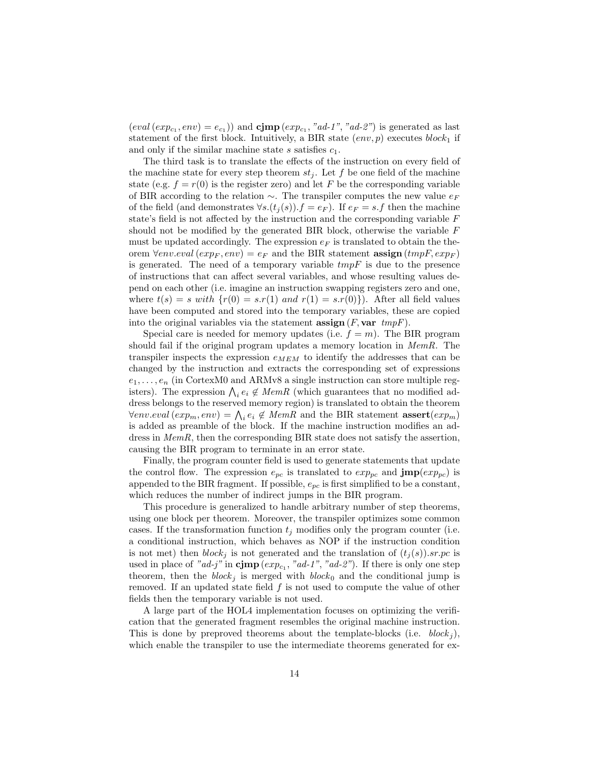$\left(\text{eval}\left(\text{exp}_{c_1},\text{env}\right) = e_{c_1}\right)$  and  $\text{cimp}\left(\text{exp}_{c_1}, \text{"ad-1", \text{"ad-2"}}\right)$  is generated as last statement of the first block. Intuitively, a BIR state  $(env, p)$  executes block<sub>1</sub> if and only if the similar machine state s satisfies  $c_1$ .

The third task is to translate the effects of the instruction on every field of the machine state for every step theorem  $st_i$ . Let f be one field of the machine state (e.g.  $f = r(0)$  is the register zero) and let F be the corresponding variable of BIR according to the relation  $\sim$ . The transpiler computes the new value  $e_F$ of the field (and demonstrates  $\forall s.(t_i(s)).f = e_F$ ). If  $e_F = s.f$  then the machine state's field is not affected by the instruction and the corresponding variable F should not be modified by the generated BIR block, otherwise the variable  $F$ must be updated accordingly. The expression  $e_F$  is translated to obtain the theorem  $\forall env. eval \,(exp_F, env) = e_F$  and the BIR statement **assign**  $tmpF, exp_F)$ is generated. The need of a temporary variable  $tmpF$  is due to the presence of instructions that can affect several variables, and whose resulting values depend on each other (i.e. imagine an instruction swapping registers zero and one, where  $t(s) = s$  with  $\{r(0) = s.r(1)$  and  $r(1) = s.r(0)\}$ . After all field values have been computed and stored into the temporary variables, these are copied into the original variables via the statement  $\operatorname{assign}(F, \text{var }tmpF)$ .

Special care is needed for memory updates (i.e.  $f = m$ ). The BIR program should fail if the original program updates a memory location in MemR. The transpiler inspects the expression  $e_{MEM}$  to identify the addresses that can be changed by the instruction and extracts the corresponding set of expressions  $e_1, \ldots, e_n$  (in CortexM0 and ARMv8 a single instruction can store multiple registers). The expression  $\bigwedge_i e_i \notin \text{MemR}$  (which guarantees that no modified address belongs to the reserved memory region) is translated to obtain the theorem  $\forall env. eval \left(exp_m, env\right) = \bigwedge_i e_i \notin MemR$  and the BIR statement  $assert(exp_m)$ is added as preamble of the block. If the machine instruction modifies an address in MemR, then the corresponding BIR state does not satisfy the assertion, causing the BIR program to terminate in an error state.

Finally, the program counter field is used to generate statements that update the control flow. The expression  $e_{pc}$  is translated to  $exp_{pc}$  and  $\text{imp}(exp_{pc})$  is appended to the BIR fragment. If possible,  $e_{pc}$  is first simplified to be a constant, which reduces the number of indirect jumps in the BIR program.

This procedure is generalized to handle arbitrary number of step theorems, using one block per theorem. Moreover, the transpiler optimizes some common cases. If the transformation function  $t_j$  modifies only the program counter (i.e. a conditional instruction, which behaves as NOP if the instruction condition is not met) then  $block_j$  is not generated and the translation of  $(t_j(s))$ .sr.pc is used in place of "ad-j" in  $\text{cimp}\left(exp_{c_1}, \text{"ad-1", "ad-2"\right)$ . If there is only one step theorem, then the block<sub>j</sub> is merged with block<sub>0</sub> and the conditional jump is removed. If an updated state field  $f$  is not used to compute the value of other fields then the temporary variable is not used.

A large part of the HOL4 implementation focuses on optimizing the verification that the generated fragment resembles the original machine instruction. This is done by preproved theorems about the template-blocks (i.e.  $block_i$ ), which enable the transpiler to use the intermediate theorems generated for ex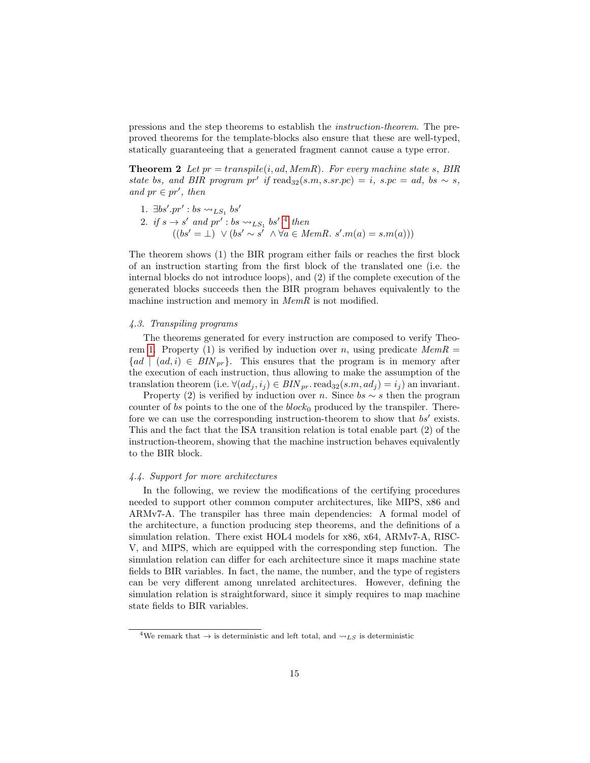pressions and the step theorems to establish the instruction-theorem. The preproved theorems for the template-blocks also ensure that these are well-typed, statically guaranteeing that a generated fragment cannot cause a type error.

**Theorem 2** Let  $pr = transpile(i, ad, MemR)$ . For every machine state s, BIR state bs, and BIR program pr' if  $\text{read}_{32}(s.m, s.sr.pc) = i$ ,  $s.pc = ad$ ,  $bs \sim s$ , and  $pr \in pr'$ , then

- 1.  $\exists bs'.pr': bs \rightarrow_{LS_1} bs'$
- 2. if  $s \to s'$  and  $pr'$  : bs  $\leadsto_{LS_1}$  bs' <sup>[4](#page-14-0)</sup> then  $((bs' = \bot) \lor (bs' \sim s' \land \forall a \in MemR. s'.m(a) = s.m(a)))$

The theorem shows (1) the BIR program either fails or reaches the first block of an instruction starting from the first block of the translated one (i.e. the internal blocks do not introduce loops), and (2) if the complete execution of the generated blocks succeeds then the BIR program behaves equivalently to the machine instruction and memory in MemR is not modified.

## 4.3. Transpiling programs

The theorems generated for every instruction are composed to verify Theo-rem [1.](#page-9-2) Property (1) is verified by induction over n, using predicate  $MemR =$  ${ad \mid (ad, i) \in BIN_{pr}}$ . This ensures that the program is in memory after the execution of each instruction, thus allowing to make the assumption of the translation theorem (i.e.  $\forall (ad_j, i_j) \in BIN_{pr}$ . read<sub>32</sub> $(s.m, ad_j) = i_j$ ) an invariant.

Property (2) is verified by induction over *n*. Since  $bs \sim s$  then the program counter of bs points to the one of the  $block_0$  produced by the transpiler. Therefore we can use the corresponding instruction-theorem to show that  $bs'$  exists. This and the fact that the ISA transition relation is total enable part (2) of the instruction-theorem, showing that the machine instruction behaves equivalently to the BIR block.

# 4.4. Support for more architectures

In the following, we review the modifications of the certifying procedures needed to support other common computer architectures, like MIPS, x86 and ARMv7-A. The transpiler has three main dependencies: A formal model of the architecture, a function producing step theorems, and the definitions of a simulation relation. There exist HOL4 models for x86, x64, ARMv7-A, RISC-V, and MIPS, which are equipped with the corresponding step function. The simulation relation can differ for each architecture since it maps machine state fields to BIR variables. In fact, the name, the number, and the type of registers can be very different among unrelated architectures. However, defining the simulation relation is straightforward, since it simply requires to map machine state fields to BIR variables.

<span id="page-14-0"></span><sup>&</sup>lt;sup>4</sup>We remark that  $\rightarrow$  is deterministic and left total, and  $\sim$ <sub>LS</sub> is deterministic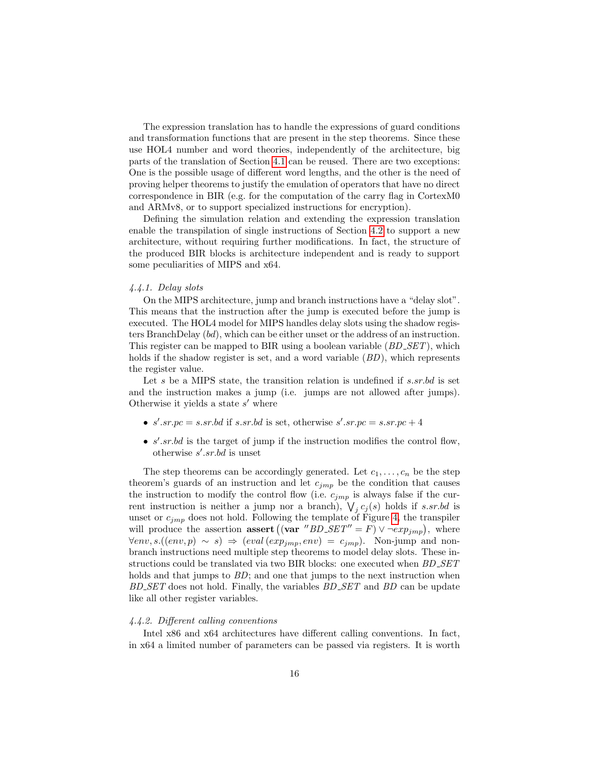The expression translation has to handle the expressions of guard conditions and transformation functions that are present in the step theorems. Since these use HOL4 number and word theories, independently of the architecture, big parts of the translation of Section [4.1](#page-10-1) can be reused. There are two exceptions: One is the possible usage of different word lengths, and the other is the need of proving helper theorems to justify the emulation of operators that have no direct correspondence in BIR (e.g. for the computation of the carry flag in CortexM0 and ARMv8, or to support specialized instructions for encryption).

Defining the simulation relation and extending the expression translation enable the transpilation of single instructions of Section [4.2](#page-11-1) to support a new architecture, without requiring further modifications. In fact, the structure of the produced BIR blocks is architecture independent and is ready to support some peculiarities of MIPS and x64.

#### 4.4.1. Delay slots

On the MIPS architecture, jump and branch instructions have a "delay slot". This means that the instruction after the jump is executed before the jump is executed. The HOL4 model for MIPS handles delay slots using the shadow registers BranchDelay (bd), which can be either unset or the address of an instruction. This register can be mapped to BIR using a boolean variable *(BD\_SET)*, which holds if the shadow register is set, and a word variable (BD), which represents the register value.

Let s be a MIPS state, the transition relation is undefined if  $s.sr.bd$  is set and the instruction makes a jump (i.e. jumps are not allowed after jumps). Otherwise it yields a state  $s'$  where

- s'.sr.pc = s.sr.bd if s.sr.bd is set, otherwise s'.sr.pc = s.sr.pc + 4
- $s'.sr.bd$  is the target of jump if the instruction modifies the control flow, otherwise  $s'.sr.bd$  is unset

The step theorems can be accordingly generated. Let  $c_1, \ldots, c_n$  be the step theorem's guards of an instruction and let  $c_{jmp}$  be the condition that causes the instruction to modify the control flow (i.e.  $c_{jmp}$  is always false if the current instruction is neither a jump nor a branch),  $\bigvee_j c_j(s)$  holds if s.sr.bd is unset or  $c_{jmp}$  does not hold. Following the template of Figure [4,](#page-12-0) the transpiler will produce the assertion **assert** ((var  $''BD\_SET'' = F$ )  $\vee \neg exp_{jmp}$ ), where  $\forall env, s.((env, p) \sim s) \Rightarrow (eval(exp_{imp}, env) = c_{imp}).$  Non-jump and nonbranch instructions need multiple step theorems to model delay slots. These instructions could be translated via two BIR blocks: one executed when  $BD\_SET$ holds and that jumps to *BD*; and one that jumps to the next instruction when BD\_SET does not hold. Finally, the variables BD\_SET and BD can be update like all other register variables.

#### 4.4.2. Different calling conventions

Intel x86 and x64 architectures have different calling conventions. In fact, in x64 a limited number of parameters can be passed via registers. It is worth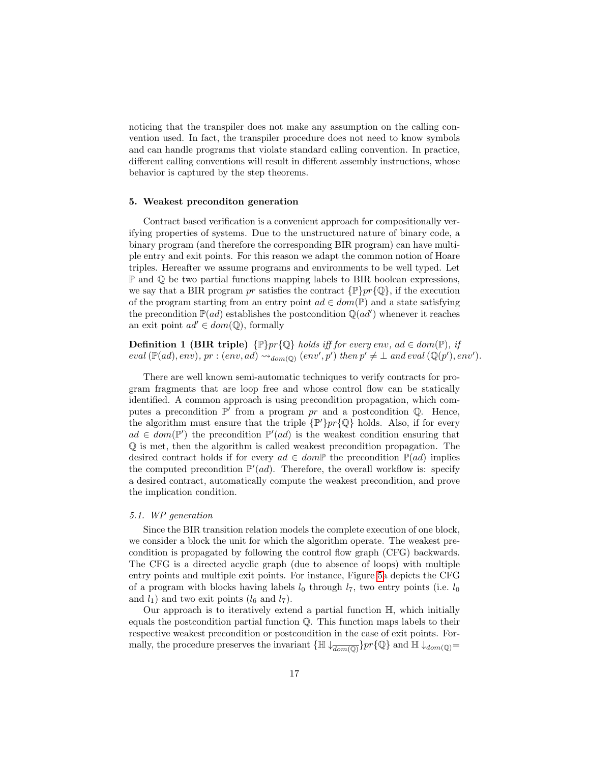noticing that the transpiler does not make any assumption on the calling convention used. In fact, the transpiler procedure does not need to know symbols and can handle programs that violate standard calling convention. In practice, different calling conventions will result in different assembly instructions, whose behavior is captured by the step theorems.

#### <span id="page-16-0"></span>5. Weakest preconditon generation

Contract based verification is a convenient approach for compositionally verifying properties of systems. Due to the unstructured nature of binary code, a binary program (and therefore the corresponding BIR program) can have multiple entry and exit points. For this reason we adapt the common notion of Hoare triples. Hereafter we assume programs and environments to be well typed. Let  $\mathbb P$  and  $\mathbb Q$  be two partial functions mapping labels to BIR boolean expressions, we say that a BIR program pr satisfies the contract  $\{\mathbb{P}\}pr\{\mathbb{Q}\}\,$ , if the execution of the program starting from an entry point  $ad \in dom(\mathbb{P})$  and a state satisfying the precondition  $\mathbb{P}(ad)$  establishes the postcondition  $\mathbb{Q}(ad')$  whenever it reaches an exit point  $ad' \in dom(\mathbb{Q})$ , formally

**Definition 1 (BIR triple)**  $\{\mathbb{P}\}pr\{\mathbb{Q}\}\$  holds iff for every env, ad  $\in dom(\mathbb{P})$ , if  $eval(\mathbb{P}(ad), env), pr: (env, ad) \leadsto_{dom(\mathbb{Q})} (env', p') \ then p' \neq \bot \ and \ eval(\mathbb{Q}(p'), env').$ 

There are well known semi-automatic techniques to verify contracts for program fragments that are loop free and whose control flow can be statically identified. A common approach is using precondition propagation, which computes a precondition  $\mathbb{P}'$  from a program pr and a postcondition  $\mathbb{Q}$ . Hence, the algorithm must ensure that the triple  $\{P'\}pr\{\mathbb{Q}\}\$  holds. Also, if for every  $ad \in dom(\mathbb{P}')$  the precondition  $\mathbb{P}'(ad)$  is the weakest condition ensuring that Q is met, then the algorithm is called weakest precondition propagation. The desired contract holds if for every  $ad \in dom\mathbb{P}$  the precondition  $\mathbb{P}(ad)$  implies the computed precondition  $\mathbb{P}'(ad)$ . Therefore, the overall workflow is: specify a desired contract, automatically compute the weakest precondition, and prove the implication condition.

## 5.1. WP generation

Since the BIR transition relation models the complete execution of one block, we consider a block the unit for which the algorithm operate. The weakest precondition is propagated by following the control flow graph (CFG) backwards. The CFG is a directed acyclic graph (due to absence of loops) with multiple entry points and multiple exit points. For instance, Figure [5a](#page-17-0) depicts the CFG of a program with blocks having labels  $l_0$  through  $l_7$ , two entry points (i.e.  $l_0$ ) and  $l_1$ ) and two exit points  $(l_6 \text{ and } l_7)$ .

Our approach is to iteratively extend a partial function  $\mathbb{H}$ , which initially equals the postcondition partial function Q. This function maps labels to their respective weakest precondition or postcondition in the case of exit points. Formally, the procedure preserves the invariant  $\{\mathbb{H}\downarrow_{\overline{dom}(\mathbb{Q})}\}pr\{\mathbb{Q}\}\$  and  $\mathbb{H}\downarrow_{\overline{dom}(\mathbb{Q})}=$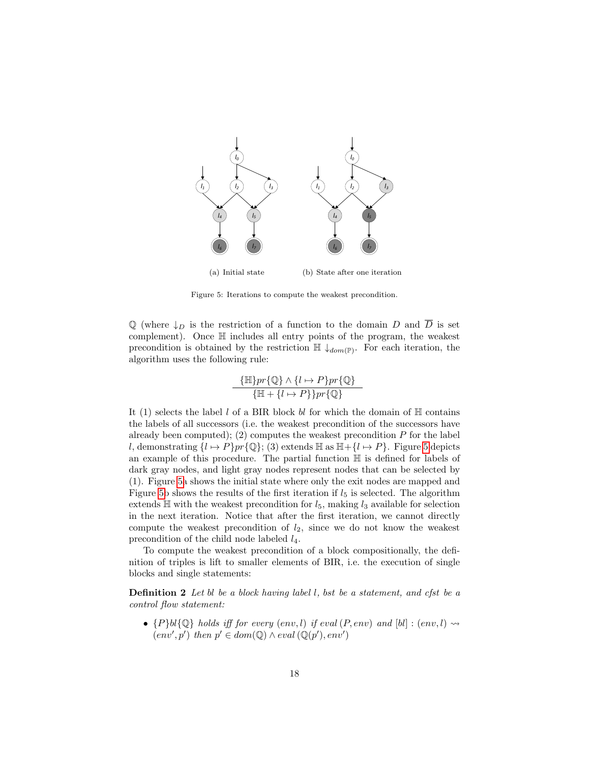

<span id="page-17-0"></span>Figure 5: Iterations to compute the weakest precondition.

Q (where  $\downarrow_D$  is the restriction of a function to the domain D and  $\overline{D}$  is set complement). Once H includes all entry points of the program, the weakest precondition is obtained by the restriction  $\mathbb{H} \downarrow_{dom(\mathbb{P})}$ . For each iteration, the algorithm uses the following rule:

$$
\frac{\{\mathbb{H}\} pr\{\mathbb{Q}\} \land \{l \mapsto P\} pr\{\mathbb{Q}\}}{\{\mathbb{H} + \{l \mapsto P\}\} pr\{\mathbb{Q}\}}
$$

It (1) selects the label l of a BIR block bl for which the domain of  $H$  contains the labels of all successors (i.e. the weakest precondition of the successors have already been computed); (2) computes the weakest precondition  $P$  for the label l, demonstrating  ${l \mapsto P}pr{\mathbb{Q}}$ ; (3) extends  $\mathbb{H}$  as  $\mathbb{H} + {l \mapsto P}$ . Figure [5](#page-17-0) depicts an example of this procedure. The partial function H is defined for labels of dark gray nodes, and light gray nodes represent nodes that can be selected by (1). Figure [5a](#page-17-0) shows the initial state where only the exit nodes are mapped and Figure [5b](#page-17-0) shows the results of the first iteration if  $l_5$  is selected. The algorithm extends  $\mathbb H$  with the weakest precondition for  $l_5$ , making  $l_3$  available for selection in the next iteration. Notice that after the first iteration, we cannot directly compute the weakest precondition of  $l_2$ , since we do not know the weakest precondition of the child node labeled  $l_4$ .

To compute the weakest precondition of a block compositionally, the definition of triples is lift to smaller elements of BIR, i.e. the execution of single blocks and single statements:

Definition 2 Let bl be a block having label l, bst be a statement, and cfst be a control flow statement:

•  $\{P\}bl\{\mathbb{Q}\}\$  holds iff for every  $(env, l)$  if eval  $(P, env)$  and  $[bl]$  :  $(env, l) \rightsquigarrow$  $(\text{env}', p')$  then  $p' \in \text{dom}(\mathbb{Q}) \wedge \text{eval}(\mathbb{Q}(p'), \text{env}')$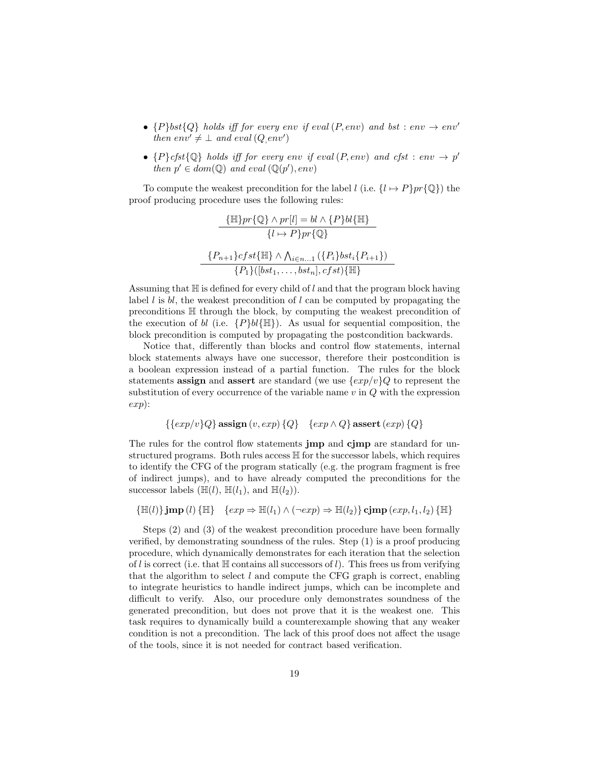- $\{P\}bst\{Q\}$  holds iff for every env if eval  $(P, env)$  and bst : env  $\rightarrow env'$ then env'  $\neq \bot$  and eval  $(Q, env')$
- $\{P\} \text{cfst} \{\mathbb{Q}\}$  holds iff for every env if eval  $(P, env)$  and cfst : env  $\rightarrow p'$ then  $p' \in dom(\mathbb{Q})$  and eval  $(\mathbb{Q}(p'), env)$

To compute the weakest precondition for the label  $l$  (i.e.  ${l \mapsto P}pr\{\mathbb{Q}\}\)$  the proof producing procedure uses the following rules:

$$
\frac{\{\mathbb{H}\}pr\{\mathbb{Q}\}\wedge pr[l] = bl \wedge \{P\}bl\{\mathbb{H}\}}{\{l \mapsto P\}pr\{\mathbb{Q}\}}
$$

$$
\frac{\{P_{n+1}\}cfst\{\mathbb{H}\}\wedge \bigwedge_{i\in n...1} (\{P_i\}bst_i\{P_{i+1}\})}{\{P_1\}([bst_1, \dots, bst_n], cfst)\{\mathbb{H}\}}
$$

Assuming that  $\mathbb H$  is defined for every child of l and that the program block having label  $l$  is  $bl$ , the weakest precondition of  $l$  can be computed by propagating the preconditions H through the block, by computing the weakest precondition of the execution of bl (i.e.  $\{P\}bl\{\mathbb{H}\}\)$ . As usual for sequential composition, the block precondition is computed by propagating the postcondition backwards.

Notice that, differently than blocks and control flow statements, internal block statements always have one successor, therefore their postcondition is a boolean expression instead of a partial function. The rules for the block statements assign and assert are standard (we use  $\{exp/v\}Q$  to represent the substitution of every occurrence of the variable name  $v$  in  $Q$  with the expression  $exp$ :

$$
\{\{exp/v\}Q\}\text{ assign } (v, exp) \{Q\} \quad \{exp \land Q\}\text{ assert } (exp) \{Q\}
$$

The rules for the control flow statements **jmp** and **cjmp** are standard for unstructured programs. Both rules access H for the successor labels, which requires to identify the CFG of the program statically (e.g. the program fragment is free of indirect jumps), and to have already computed the preconditions for the successor labels ( $\mathbb{H}(l)$ ,  $\mathbb{H}(l_1)$ , and  $\mathbb{H}(l_2)$ ).

$$
\{\mathbb{H}(l)\}\,\text{imp}\,(l)\,\{\mathbb{H}\}\quad\{\exp\Rightarrow\mathbb{H}(l_1)\wedge(\neg\exp\Rightarrow\mathbb{H}(l_2)\}\,\text{cimp}\,(\exp,l_1,l_2)\,\{\mathbb{H}\}
$$

Steps (2) and (3) of the weakest precondition procedure have been formally verified, by demonstrating soundness of the rules. Step (1) is a proof producing procedure, which dynamically demonstrates for each iteration that the selection of l is correct (i.e. that  $\mathbb H$  contains all successors of l). This frees us from verifying that the algorithm to select  $l$  and compute the CFG graph is correct, enabling to integrate heuristics to handle indirect jumps, which can be incomplete and difficult to verify. Also, our procedure only demonstrates soundness of the generated precondition, but does not prove that it is the weakest one. This task requires to dynamically build a counterexample showing that any weaker condition is not a precondition. The lack of this proof does not affect the usage of the tools, since it is not needed for contract based verification.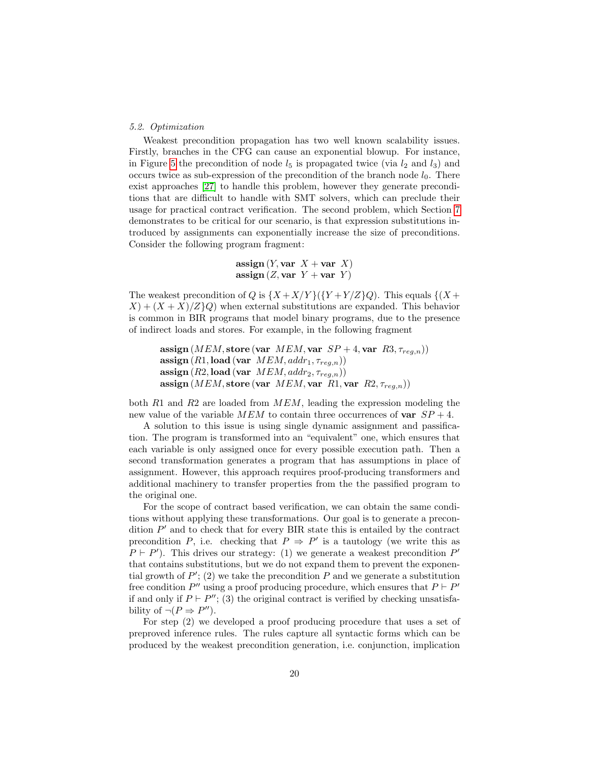#### 5.2. Optimization

Weakest precondition propagation has two well known scalability issues. Firstly, branches in the CFG can cause an exponential blowup. For instance, in Figure [5](#page-17-0) the precondition of node  $l_5$  is propagated twice (via  $l_2$  and  $l_3$ ) and occurs twice as sub-expression of the precondition of the branch node  $l_0$ . There exist approaches [\[27\]](#page-30-11) to handle this problem, however they generate preconditions that are difficult to handle with SMT solvers, which can preclude their usage for practical contract verification. The second problem, which Section [7](#page-23-0) demonstrates to be critical for our scenario, is that expression substitutions introduced by assignments can exponentially increase the size of preconditions. Consider the following program fragment:

```
\operatorname{assign}(Y, \text{var } X + \text{var } X)\operatorname{assign}(Z, \text{var } Y + \text{var } Y)
```
The weakest precondition of Q is  $\{X+X/Y\}(\{Y+Y/Z\}Q)$ . This equals  $\{(X+Y)Z\}$  $(X) + (X + X)/Z$  when external substitutions are expanded. This behavior is common in BIR programs that model binary programs, due to the presence of indirect loads and stores. For example, in the following fragment

```
assign (MEM, store (var MEM, var SP+4, var R3, \tau_{req,n}))
\mathbf{assign}(R1, \mathbf{load}(\mathbf{var} \ MEM, \mathbf{addr}_1, \tau_{req, n}))assign (R2, \text{load}(var \text{ MEM}, \text{addr}_2, \tau_{reg,n}))\mathbf{assign}(MEM, \mathbf{store}(\mathbf{var} \text{ MEM}, \mathbf{var} \text{ R1}, \mathbf{var} \text{ R2}, \tau_{reg,n}))
```
both  $R1$  and  $R2$  are loaded from  $MEM$ , leading the expression modeling the new value of the variable MEM to contain three occurrences of var  $SP + 4$ .

A solution to this issue is using single dynamic assignment and passification. The program is transformed into an "equivalent" one, which ensures that each variable is only assigned once for every possible execution path. Then a second transformation generates a program that has assumptions in place of assignment. However, this approach requires proof-producing transformers and additional machinery to transfer properties from the the passified program to the original one.

For the scope of contract based verification, we can obtain the same conditions without applying these transformations. Our goal is to generate a precondition  $P'$  and to check that for every BIR state this is entailed by the contract precondition P, i.e. checking that  $P \Rightarrow P'$  is a tautology (we write this as  $P \vdash P'$ ). This drives our strategy: (1) we generate a weakest precondition P' that contains substitutions, but we do not expand them to prevent the exponential growth of  $P'$ ; (2) we take the precondition  $P$  and we generate a substitution free condition  $P''$  using a proof producing procedure, which ensures that  $P \vdash P'$ if and only if  $P \vdash P''$ ; (3) the original contract is verified by checking unsatisfability of  $\neg (P \Rightarrow P'')$ .

For step (2) we developed a proof producing procedure that uses a set of preproved inference rules. The rules capture all syntactic forms which can be produced by the weakest precondition generation, i.e. conjunction, implication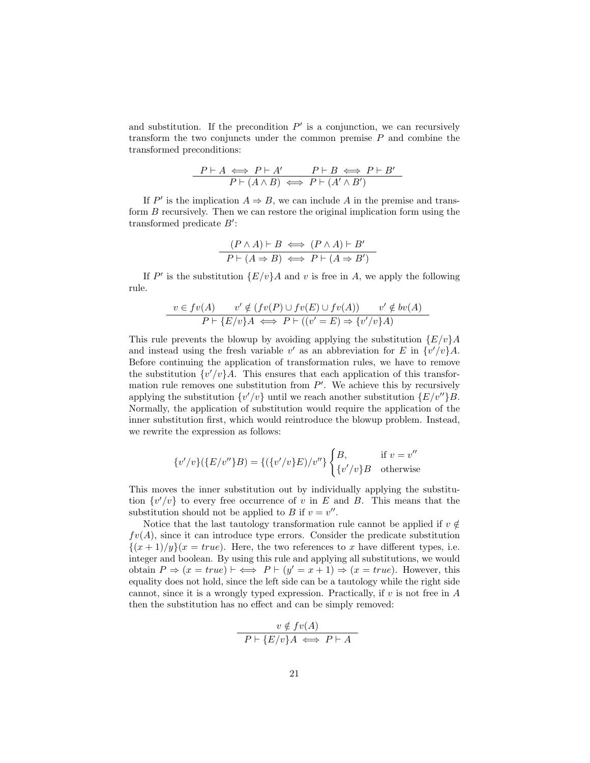and substitution. If the precondition  $P'$  is a conjunction, we can recursively transform the two conjuncts under the common premise  $P$  and combine the transformed preconditions:

$$
\frac{P \vdash A \iff P \vdash A' \qquad P \vdash B \iff P \vdash B'}{P \vdash (A \land B) \iff P \vdash (A' \land B')}
$$

If P' is the implication  $A \Rightarrow B$ , we can include A in the premise and transform B recursively. Then we can restore the original implication form using the transformed predicate  $B'$ :

$$
(P \land A) \vdash B \iff (P \land A) \vdash B'
$$
  

$$
P \vdash (A \Rightarrow B) \iff P \vdash (A \Rightarrow B')
$$

If P' is the substitution  $\{E/v\}A$  and v is free in A, we apply the following rule.

$$
\frac{v \in fv(A) \quad v' \notin (fv(P) \cup fv(E) \cup fv(A)) \quad v' \notin bv(A)}{P \vdash \{E/v\}A \iff P \vdash ((v' = E) \Rightarrow \{v'/v\}A)}
$$

This rule prevents the blowup by avoiding applying the substitution  ${E/v}A$ and instead using the fresh variable v' as an abbreviation for E in  $\{v'/v\}A$ . Before continuing the application of transformation rules, we have to remove the substitution  $\{v'/v\}$  A. This ensures that each application of this transformation rule removes one substitution from  $P'$ . We achieve this by recursively applying the substitution  $\{v'/v\}$  until we reach another substitution  $\{E/v''\}B$ . Normally, the application of substitution would require the application of the inner substitution first, which would reintroduce the blowup problem. Instead, we rewrite the expression as follows:

$$
\{v'/v\}(\{E/v''\}B) = \{ (\{v'/v\}E)/v''\} \begin{cases} B, & \text{if } v = v''\\ \{v'/v\}B & \text{otherwise} \end{cases}
$$

This moves the inner substitution out by individually applying the substitution  $\{v'/v\}$  to every free occurrence of v in E and B. This means that the substitution should not be applied to B if  $v = v''$ .

Notice that the last tautology transformation rule cannot be applied if  $v \notin$  $fv(A)$ , since it can introduce type errors. Consider the predicate substitution  $\{(x+1)/y\}(x = true)$ . Here, the two references to x have different types, i.e. integer and boolean. By using this rule and applying all substitutions, we would obtain  $P \Rightarrow (x = true) \vdash \iff P \vdash (y' = x + 1) \Rightarrow (x = true)$ . However, this equality does not hold, since the left side can be a tautology while the right side cannot, since it is a wrongly typed expression. Practically, if  $v$  is not free in  $A$ then the substitution has no effect and can be simply removed:

$$
v \notin fv(A)
$$

$$
P \vdash \{E/v\}A \iff P \vdash A
$$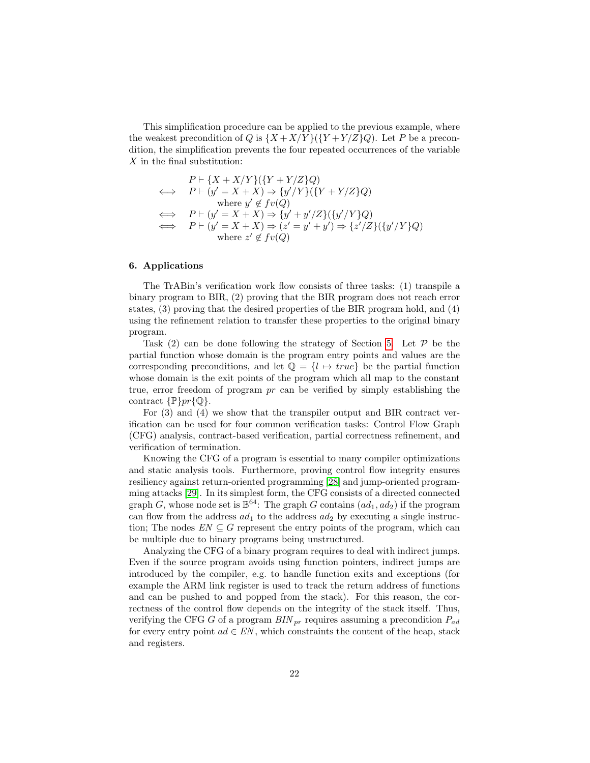This simplification procedure can be applied to the previous example, where the weakest precondition of Q is  $\{X+X/Y\}(\{Y+Y/Z\}Q)$ . Let P be a precondition, the simplification prevents the four repeated occurrences of the variable X in the final substitution:

$$
P \vdash \{X + X/Y\}(\{Y + Y/Z\}Q)
$$
\n
$$
\iff P \vdash (y' = X + X) \Rightarrow \{y'/Y\}(\{Y + Y/Z\}Q)
$$
\nwhere  $y' \notin fv(Q)$   
\n
$$
\iff P \vdash (y' = X + X) \Rightarrow \{y' + y'/Z\}(\{y'/Y\}Q)
$$
\n
$$
\iff P \vdash (y' = X + X) \Rightarrow (z' = y' + y') \Rightarrow \{z'/Z\}(\{y'/Y\}Q)
$$
\nwhere  $z' \notin fv(Q)$ 

#### <span id="page-21-0"></span>6. Applications

The TrABin's verification work flow consists of three tasks: (1) transpile a binary program to BIR, (2) proving that the BIR program does not reach error states, (3) proving that the desired properties of the BIR program hold, and (4) using the refinement relation to transfer these properties to the original binary program.

Task  $(2)$  can be done following the strategy of Section [5.](#page-16-0) Let  $P$  be the partial function whose domain is the program entry points and values are the corresponding preconditions, and let  $\mathbb{Q} = \{l \mapsto true\}$  be the partial function whose domain is the exit points of the program which all map to the constant true, error freedom of program pr can be verified by simply establishing the contract  $\{\mathbb{P}\}pr\{\mathbb{Q}\}.$ 

For (3) and (4) we show that the transpiler output and BIR contract verification can be used for four common verification tasks: Control Flow Graph (CFG) analysis, contract-based verification, partial correctness refinement, and verification of termination.

Knowing the CFG of a program is essential to many compiler optimizations and static analysis tools. Furthermore, proving control flow integrity ensures resiliency against return-oriented programming [\[28\]](#page-30-12) and jump-oriented programming attacks [\[29\]](#page-31-0). In its simplest form, the CFG consists of a directed connected graph G, whose node set is  $\mathbb{B}^{64}$ : The graph G contains  $(ad_1, ad_2)$  if the program can flow from the address  $ad_1$  to the address  $ad_2$  by executing a single instruction; The nodes  $EN \subseteq G$  represent the entry points of the program, which can be multiple due to binary programs being unstructured.

Analyzing the CFG of a binary program requires to deal with indirect jumps. Even if the source program avoids using function pointers, indirect jumps are introduced by the compiler, e.g. to handle function exits and exceptions (for example the ARM link register is used to track the return address of functions and can be pushed to and popped from the stack). For this reason, the correctness of the control flow depends on the integrity of the stack itself. Thus, verifying the CFG G of a program  $BIN_{pr}$  requires assuming a precondition  $P_{ad}$ for every entry point  $ad \in EN$ , which constraints the content of the heap, stack and registers.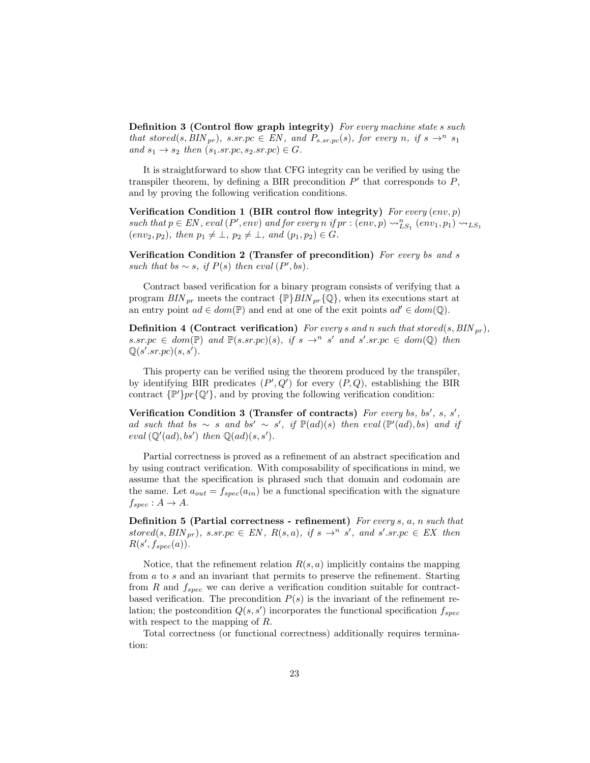Definition 3 (Control flow graph integrity) For every machine state s such that stored(s, BIN<sub>pr</sub>), s.sr.pc  $\in EN$ , and  $P_{s.sr.pc}(s)$ , for every n, if  $s \rightarrow^{n} s_1$ and  $s_1 \rightarrow s_2$  then  $(s_1.sr.pc, s_2.sr.pc) \in G$ .

It is straightforward to show that CFG integrity can be verified by using the transpiler theorem, by defining a BIR precondition  $P'$  that corresponds to  $P$ , and by proving the following verification conditions.

Verification Condition 1 (BIR control flow integrity) For every  $(env, p)$ such that  $p \in EN$ , eval  $(P', env)$  and for every n if  $pr : (env, p) \rightarrow_{LS_1} (env_1, p_1) \rightarrow_{LS_1}$  $(env_2, p_2)$ , then  $p_1 \neq \bot$ ,  $p_2 \neq \bot$ , and  $(p_1, p_2) \in G$ .

<span id="page-22-0"></span>Verification Condition 2 (Transfer of precondition) For every bs and s such that bs  $\sim s$ , if  $P(s)$  then eval  $(P', bs)$ .

Contract based verification for a binary program consists of verifying that a program  $BIN_{pr}$  meets the contract  $\{\mathbb{P}\} BIN_{pr}\{\mathbb{Q}\}\)$ , when its executions start at an entry point  $ad \in dom(\mathbb{P})$  and end at one of the exit points  $ad' \in dom(\mathbb{Q})$ .

**Definition 4 (Contract verification)** For every s and n such that stored(s,  $BIN_{pr}$ ),  $s.sr.pc \in dom(\mathbb{P})$  and  $\mathbb{P}(s.sr.pc)(s)$ , if  $s \to^n s'$  and  $s'.sr.pc \in dom(\mathbb{Q})$  then  $\mathbb{Q}(s'.sr.pc)(s,s').$ 

This property can be verified using the theorem produced by the transpiler, by identifying BIR predicates  $(P', Q')$  for every  $(P, Q)$ , establishing the BIR contract  $\{\mathbb{P}'\}pr\{\mathbb{Q}'\}$ , and by proving the following verification condition:

Verification Condition 3 (Transfer of contracts) For every bs, bs', s, s', ad such that bs  $\sim s$  and bs'  $\sim s'$ , if  $\mathbb{P}(ad)(s)$  then eval ( $\mathbb{P}'(ad), bs$ ) and if  $eval(\mathbb{Q}'(ad), bs')$  then  $\mathbb{Q}(ad)(s, s').$ 

Partial correctness is proved as a refinement of an abstract specification and by using contract verification. With composability of specifications in mind, we assume that the specification is phrased such that domain and codomain are the same. Let  $a_{out} = f_{spec}(a_{in})$  be a functional specification with the signature  $f_{spec}: A \rightarrow A$ .

Definition 5 (Partial correctness - refinement) For every s, a, n such that stored(s, BIN<sub>pr</sub>), s.sr.pc  $\in EN$ ,  $R(s, a)$ , if  $s \rightarrow^n s'$ , and  $s'$ .sr.pc  $\in EX$  then  $R(s', f_{spec}(a)).$ 

Notice, that the refinement relation  $R(s, a)$  implicitly contains the mapping from a to s and an invariant that permits to preserve the refinement. Starting from R and  $f_{spec}$  we can derive a verification condition suitable for contractbased verification. The precondition  $P(s)$  is the invariant of the refinement relation; the postcondition  $Q(s, s')$  incorporates the functional specification  $f_{spec}$ with respect to the mapping of R.

Total correctness (or functional correctness) additionally requires termination: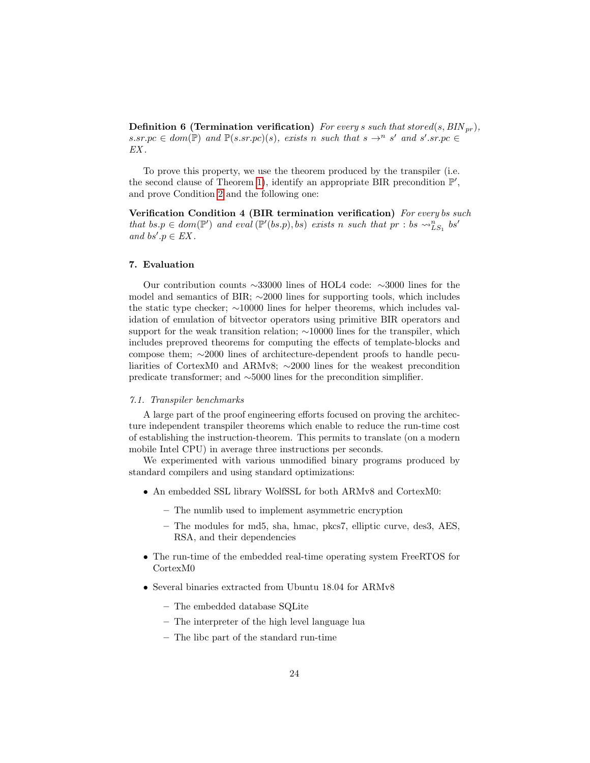**Definition 6 (Termination verification)** For every s such that stored(s,  $BIN_{pr}$ ),  $s.sr.pc \in dom(\mathbb{P})$  and  $\mathbb{P}(s.sr.pc)(s)$ , exists n such that  $s \to s'$  and  $s'.sr.pc \in$ EX .

To prove this property, we use the theorem produced by the transpiler (i.e. the second clause of Theorem [1\)](#page-9-2), identify an appropriate BIR precondition  $\mathbb{P}',$ and prove Condition [2](#page-22-0) and the following one:

Verification Condition 4 (BIR termination verification) For every bs such that bs.p  $\in dom(\mathbb{P}')$  and eval  $(\mathbb{P}'(bs.p), bs)$  exists n such that  $pr : bs \leadsto_{LS_1}^n bs'$ and bs'. $p \in EX$ .

# <span id="page-23-0"></span>7. Evaluation

Our contribution counts ∼33000 lines of HOL4 code: ∼3000 lines for the model and semantics of BIR; ∼2000 lines for supporting tools, which includes the static type checker; ∼10000 lines for helper theorems, which includes validation of emulation of bitvector operators using primitive BIR operators and support for the weak transition relation; ∼10000 lines for the transpiler, which includes preproved theorems for computing the effects of template-blocks and compose them; ∼2000 lines of architecture-dependent proofs to handle peculiarities of CortexM0 and ARMv8; ∼2000 lines for the weakest precondition predicate transformer; and ∼5000 lines for the precondition simplifier.

#### 7.1. Transpiler benchmarks

A large part of the proof engineering efforts focused on proving the architecture independent transpiler theorems which enable to reduce the run-time cost of establishing the instruction-theorem. This permits to translate (on a modern mobile Intel CPU) in average three instructions per seconds.

We experimented with various unmodified binary programs produced by standard compilers and using standard optimizations:

- An embedded SSL library WolfSSL for both ARMv8 and CortexM0:
	- The numlib used to implement asymmetric encryption
	- The modules for md5, sha, hmac, pkcs7, elliptic curve, des3, AES, RSA, and their dependencies
- The run-time of the embedded real-time operating system FreeRTOS for CortexM0
- Several binaries extracted from Ubuntu 18.04 for ARMv8
	- The embedded database SQLite
	- The interpreter of the high level language lua
	- The libc part of the standard run-time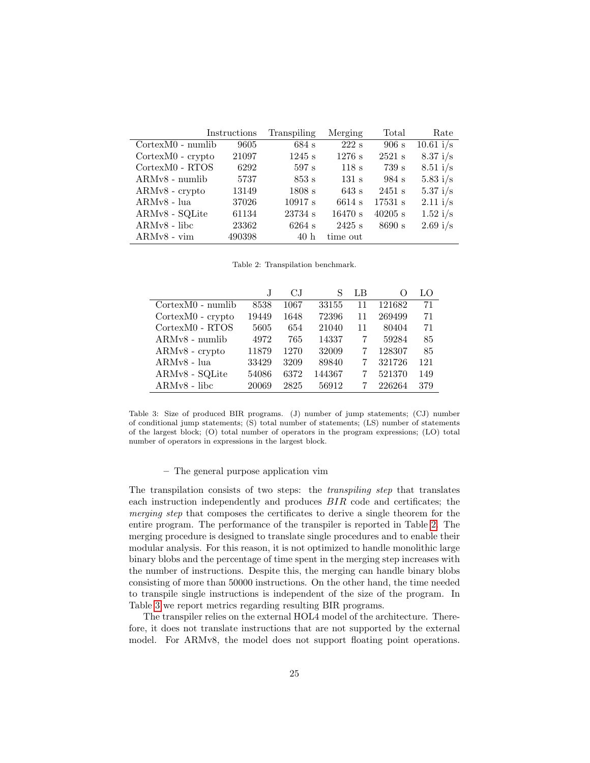|                            | Instructions | Transpiling | Merging          | Total           | Rate               |
|----------------------------|--------------|-------------|------------------|-----------------|--------------------|
| $\text{CortexM0 - numlib}$ | 9605         | 684 s       | 222 s            | 906 s           | 10.61 i/s          |
| $\text{CortexM0}$ - crypto | 21097        | $1245$ s    | $1276$ s         | $2521$ s        | 8.37 i/s           |
| $\text{CortexM0 - RTOS}$   | 6292         | 597 s       | 118s             | 739 s           | 8.51 i/s           |
| $ARMv8$ - numlib           | 5737         | 853 s       | $131 \mathrm{s}$ | $984\mathrm{s}$ | $5.83 \text{ i/s}$ |
| $ARMv8$ - crypto           | 13149        | $1808$ s    | 643s             | $2451$ s        | $5.37 \text{ i/s}$ |
| $ARMv8$ - lua              | 37026        | $10917$ s   | 6614 s           | 17531 s         | 2.11 i/s           |
| ARMv8 - SQLite             | 61134        | 23734 s     | 16470 s          | $40205$ s       | $1.52 \text{ i/s}$ |
| $ARMv8$ - libc             | 23362        | $6264$ s    | $2425$ s         | 8690 s          | 2.69 i/s           |
| $ARMv8 - vim$              | 490398       | 40h         | time out         |                 |                    |

<span id="page-24-0"></span>Table 2: Transpilation benchmark.

|                                                  |       | CJ   | S      | LB |        | LO. |
|--------------------------------------------------|-------|------|--------|----|--------|-----|
| CortexM0 - numlib                                | 8538  | 1067 | 33155  | 11 | 121682 | 71  |
| $\text{CortexM0}$ - crypto                       | 19449 | 1648 | 72396  | 11 | 269499 | 71  |
| CortexM0 - RTOS                                  | 5605  | 654  | 21040  | 11 | 80404  | 71  |
| $ARMv8$ - numlib                                 | 4972  | 765  | 14337  | 7  | 59284  | 85  |
| $ARMv8$ - crypto                                 | 11879 | 1270 | 32009  | 7  | 128307 | 85  |
| ARMv8 - lua                                      | 33429 | 3209 | 89840  |    | 321726 | 121 |
| $\operatorname{ARMv8}$ - $\operatorname{SQLite}$ | 54086 | 6372 | 144367 |    | 521370 | 149 |
| $ARMv8 - libc$                                   | 20069 | 2825 | 56912  |    | 226264 | 379 |

<span id="page-24-1"></span>Table 3: Size of produced BIR programs. (J) number of jump statements; (CJ) number of conditional jump statements; (S) total number of statements; (LS) number of statements of the largest block; (O) total number of operators in the program expressions; (LO) total number of operators in expressions in the largest block.

# – The general purpose application vim

The transpilation consists of two steps: the transpiling step that translates each instruction independently and produces BIR code and certificates; the merging step that composes the certificates to derive a single theorem for the entire program. The performance of the transpiler is reported in Table [2.](#page-24-0) The merging procedure is designed to translate single procedures and to enable their modular analysis. For this reason, it is not optimized to handle monolithic large binary blobs and the percentage of time spent in the merging step increases with the number of instructions. Despite this, the merging can handle binary blobs consisting of more than 50000 instructions. On the other hand, the time needed to transpile single instructions is independent of the size of the program. In Table [3](#page-24-1) we report metrics regarding resulting BIR programs.

The transpiler relies on the external HOL4 model of the architecture. Therefore, it does not translate instructions that are not supported by the external model. For ARMv8, the model does not support floating point operations.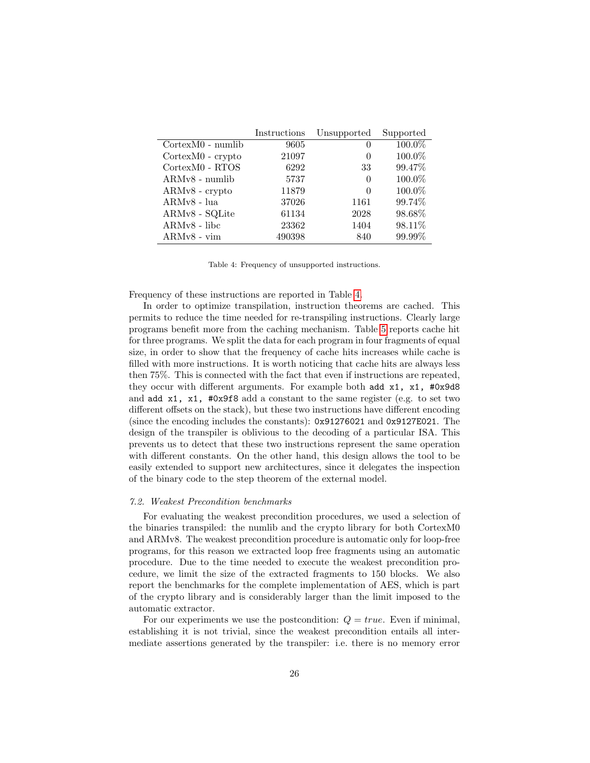|                            | Instructions | Unsupported | Supported |
|----------------------------|--------------|-------------|-----------|
| $\text{CortexM0 - numlib}$ | 9605         | $\theta$    | 100.0%    |
| $\text{CortexM0}$ - crypto | 21097        | $\theta$    | 100.0%    |
| CortexM0 - RTOS            | 6292         | 33          | 99.47\%   |
| $ARMv8$ - numlib           | 5737         | $\theta$    | 100.0%    |
| $ARMv8$ - crypto           | 11879        | 0           | 100.0%    |
| $ARMv8$ - lua              | 37026        | 1161        | 99.74%    |
| ARMv8 - SQLite             | 61134        | 2028        | 98.68%    |
| ARMv8 - libc               | 23362        | 1404        | 98.11\%   |
| $ARMv8 - vim$              | 490398       | 840         | 99.99%    |

<span id="page-25-0"></span>Table 4: Frequency of unsupported instructions.

Frequency of these instructions are reported in Table [4.](#page-25-0)

In order to optimize transpilation, instruction theorems are cached. This permits to reduce the time needed for re-transpiling instructions. Clearly large programs benefit more from the caching mechanism. Table [5](#page-26-0) reports cache hit for three programs. We split the data for each program in four fragments of equal size, in order to show that the frequency of cache hits increases while cache is filled with more instructions. It is worth noticing that cache hits are always less then 75%. This is connected with the fact that even if instructions are repeated, they occur with different arguments. For example both add x1, x1, #0x9d8 and add x1, x1, #0x9f8 add a constant to the same register (e.g. to set two different offsets on the stack), but these two instructions have different encoding (since the encoding includes the constants): 0x91276021 and 0x9127E021. The design of the transpiler is oblivious to the decoding of a particular ISA. This prevents us to detect that these two instructions represent the same operation with different constants. On the other hand, this design allows the tool to be easily extended to support new architectures, since it delegates the inspection of the binary code to the step theorem of the external model.

### 7.2. Weakest Precondition benchmarks

For evaluating the weakest precondition procedures, we used a selection of the binaries transpiled: the numlib and the crypto library for both CortexM0 and ARMv8. The weakest precondition procedure is automatic only for loop-free programs, for this reason we extracted loop free fragments using an automatic procedure. Due to the time needed to execute the weakest precondition procedure, we limit the size of the extracted fragments to 150 blocks. We also report the benchmarks for the complete implementation of AES, which is part of the crypto library and is considerably larger than the limit imposed to the automatic extractor.

For our experiments we use the postcondition:  $Q = true$ . Even if minimal, establishing it is not trivial, since the weakest precondition entails all intermediate assertions generated by the transpiler: i.e. there is no memory error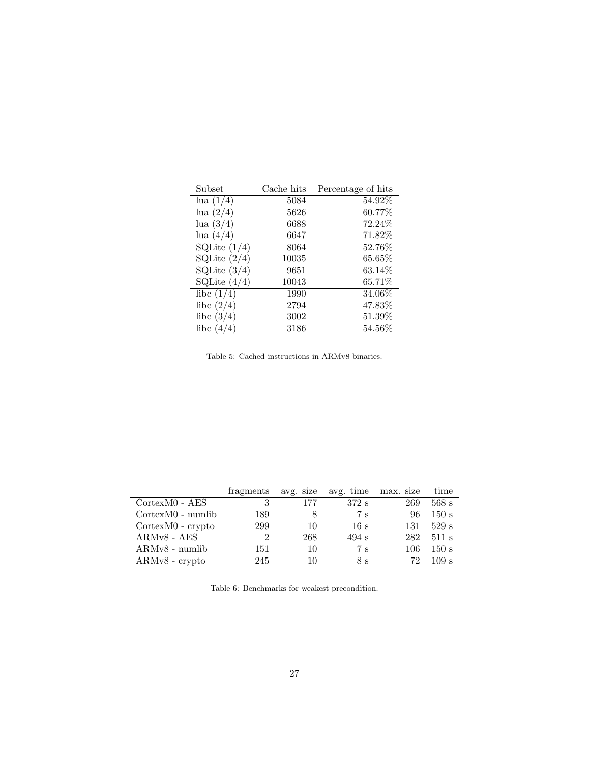| Subset                 | Cache hits | Percentage of hits |
|------------------------|------------|--------------------|
| lua $(1/4)$            | 5084       | 54.92%             |
| lua $(2/4)$            | 5626       | 60.77\%            |
| lua $\left(3/4\right)$ | 6688       | 72.24\%            |
| $\ln (4/4)$            | 6647       | 71.82\%            |
| SQLite $(1/4)$         | 8064       | 52.76%             |
| SQLite $(2/4)$         | 10035      | 65.65%             |
| SQLite $(3/4)$         | 9651       | 63.14\%            |
| SQLite $(4/4)$         | 10043      | 65.71\%            |
| libc $(1/4)$           | 1990       | 34.06\%            |
| libc $(2/4)$           | 2794       | 47.83%             |
| libc $(3/4)$           | 3002       | $51.39\%$          |
| libc $(4/4)$           | $3186\,$   | $54.56\%$          |

<span id="page-26-0"></span>Table 5: Cached instructions in ARMv8 binaries.

|                            | fragments     |             | avg. size avg. time max. size |     | time            |
|----------------------------|---------------|-------------|-------------------------------|-----|-----------------|
| $\text{CortexM0 - AES}$    | 3             | 177         | 372 s                         | 269 | $568 \text{ s}$ |
| $\text{CortexM0 - numlib}$ | 189           | $8^{\circ}$ | $7\mathrm{s}$                 | 96  | 150 s           |
| $\text{CortexM0}$ - crypto | 299           | 10          | 16 s                          | 131 | 529 s           |
| $ARMv8 - AES$              | $\mathcal{D}$ | 268         | $494 \text{ s}$               | 282 | $511 \text{ s}$ |
| $ARMv8$ - numlib           | 151           | 10          | 7 s                           | 106 | 150 s           |
| $ARMv8$ - crypto           | 245           | 10          | 8 <sub>s</sub>                | 72  | 109 s           |

<span id="page-26-1"></span>Table 6: Benchmarks for weakest precondition.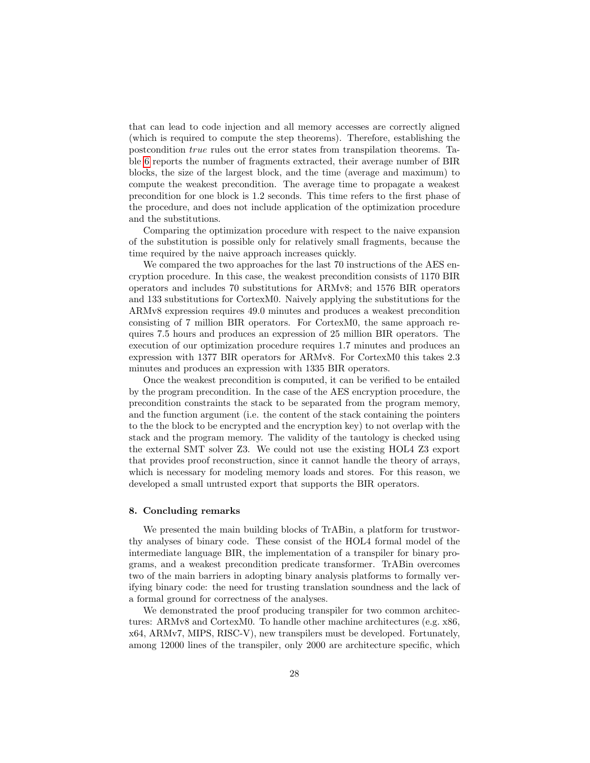that can lead to code injection and all memory accesses are correctly aligned (which is required to compute the step theorems). Therefore, establishing the postcondition true rules out the error states from transpilation theorems. Table [6](#page-26-1) reports the number of fragments extracted, their average number of BIR blocks, the size of the largest block, and the time (average and maximum) to compute the weakest precondition. The average time to propagate a weakest precondition for one block is 1.2 seconds. This time refers to the first phase of the procedure, and does not include application of the optimization procedure and the substitutions.

Comparing the optimization procedure with respect to the naive expansion of the substitution is possible only for relatively small fragments, because the time required by the naive approach increases quickly.

We compared the two approaches for the last 70 instructions of the AES encryption procedure. In this case, the weakest precondition consists of 1170 BIR operators and includes 70 substitutions for ARMv8; and 1576 BIR operators and 133 substitutions for CortexM0. Naively applying the substitutions for the ARMv8 expression requires 49.0 minutes and produces a weakest precondition consisting of 7 million BIR operators. For CortexM0, the same approach requires 7.5 hours and produces an expression of 25 million BIR operators. The execution of our optimization procedure requires 1.7 minutes and produces an expression with 1377 BIR operators for ARMv8. For CortexM0 this takes 2.3 minutes and produces an expression with 1335 BIR operators.

Once the weakest precondition is computed, it can be verified to be entailed by the program precondition. In the case of the AES encryption procedure, the precondition constraints the stack to be separated from the program memory, and the function argument (i.e. the content of the stack containing the pointers to the the block to be encrypted and the encryption key) to not overlap with the stack and the program memory. The validity of the tautology is checked using the external SMT solver Z3. We could not use the existing HOL4 Z3 export that provides proof reconstruction, since it cannot handle the theory of arrays, which is necessary for modeling memory loads and stores. For this reason, we developed a small untrusted export that supports the BIR operators.

#### <span id="page-27-0"></span>8. Concluding remarks

We presented the main building blocks of TrABin, a platform for trustworthy analyses of binary code. These consist of the HOL4 formal model of the intermediate language BIR, the implementation of a transpiler for binary programs, and a weakest precondition predicate transformer. TrABin overcomes two of the main barriers in adopting binary analysis platforms to formally verifying binary code: the need for trusting translation soundness and the lack of a formal ground for correctness of the analyses.

We demonstrated the proof producing transpiler for two common architectures: ARMv8 and CortexM0. To handle other machine architectures (e.g. x86, x64, ARMv7, MIPS, RISC-V), new transpilers must be developed. Fortunately, among 12000 lines of the transpiler, only 2000 are architecture specific, which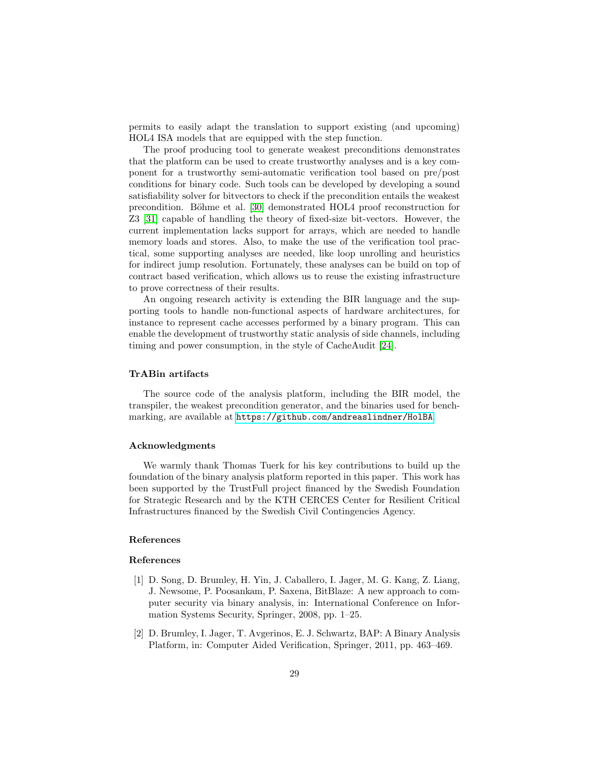permits to easily adapt the translation to support existing (and upcoming) HOL4 ISA models that are equipped with the step function.

The proof producing tool to generate weakest preconditions demonstrates that the platform can be used to create trustworthy analyses and is a key component for a trustworthy semi-automatic verification tool based on pre/post conditions for binary code. Such tools can be developed by developing a sound satisfiability solver for bitvectors to check if the precondition entails the weakest precondition. Böhme et al. [\[30\]](#page-31-1) demonstrated HOL4 proof reconstruction for Z3 [\[31\]](#page-31-2) capable of handling the theory of fixed-size bit-vectors. However, the current implementation lacks support for arrays, which are needed to handle memory loads and stores. Also, to make the use of the verification tool practical, some supporting analyses are needed, like loop unrolling and heuristics for indirect jump resolution. Fortunately, these analyses can be build on top of contract based verification, which allows us to reuse the existing infrastructure to prove correctness of their results.

An ongoing research activity is extending the BIR language and the supporting tools to handle non-functional aspects of hardware architectures, for instance to represent cache accesses performed by a binary program. This can enable the development of trustworthy static analysis of side channels, including timing and power consumption, in the style of CacheAudit [\[24\]](#page-30-8).

## TrABin artifacts

The source code of the analysis platform, including the BIR model, the transpiler, the weakest precondition generator, and the binaries used for benchmarking, are available at <https://github.com/andreaslindner/HolBA>.

## Acknowledgments

We warmly thank Thomas Tuerk for his key contributions to build up the foundation of the binary analysis platform reported in this paper. This work has been supported by the TrustFull project financed by the Swedish Foundation for Strategic Research and by the KTH CERCES Center for Resilient Critical Infrastructures financed by the Swedish Civil Contingencies Agency.

## References

### References

- <span id="page-28-0"></span>[1] D. Song, D. Brumley, H. Yin, J. Caballero, I. Jager, M. G. Kang, Z. Liang, J. Newsome, P. Poosankam, P. Saxena, BitBlaze: A new approach to computer security via binary analysis, in: International Conference on Information Systems Security, Springer, 2008, pp. 1–25.
- <span id="page-28-1"></span>[2] D. Brumley, I. Jager, T. Avgerinos, E. J. Schwartz, BAP: A Binary Analysis Platform, in: Computer Aided Verification, Springer, 2011, pp. 463–469.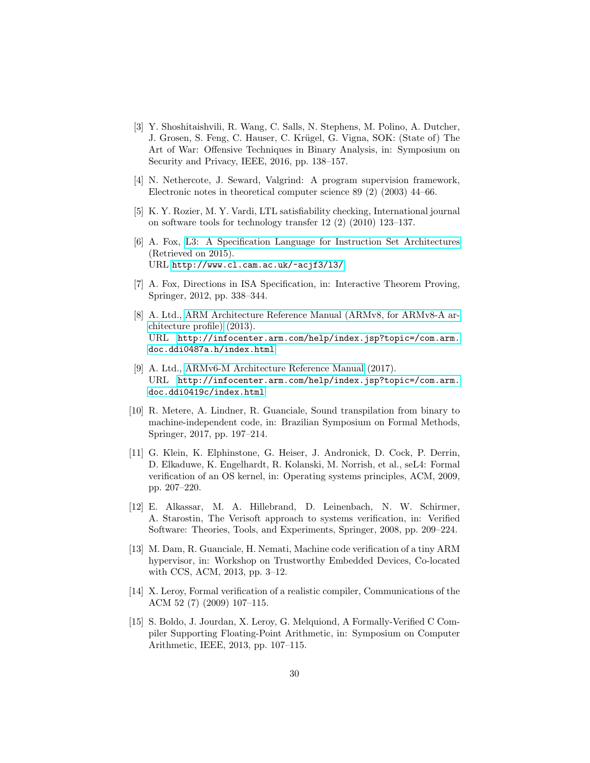- <span id="page-29-0"></span>[3] Y. Shoshitaishvili, R. Wang, C. Salls, N. Stephens, M. Polino, A. Dutcher, J. Grosen, S. Feng, C. Hauser, C. Krügel, G. Vigna, SOK: (State of) The Art of War: Offensive Techniques in Binary Analysis, in: Symposium on Security and Privacy, IEEE, 2016, pp. 138–157.
- <span id="page-29-1"></span>[4] N. Nethercote, J. Seward, Valgrind: A program supervision framework, Electronic notes in theoretical computer science 89 (2) (2003) 44–66.
- [5] K. Y. Rozier, M. Y. Vardi, LTL satisfiability checking, International journal on software tools for technology transfer 12 (2) (2010) 123–137.
- <span id="page-29-2"></span>[6] A. Fox, [L3: A Specification Language for Instruction Set Architectures](http://www.cl.cam.ac.uk/~acjf3/l3/) (Retrieved on 2015). URL <http://www.cl.cam.ac.uk/~acjf3/l3/>
- <span id="page-29-3"></span>[7] A. Fox, Directions in ISA Specification, in: Interactive Theorem Proving, Springer, 2012, pp. 338–344.
- <span id="page-29-4"></span>[8] A. Ltd., [ARM Architecture Reference Manual \(ARMv8, for ARMv8-A ar](http://infocenter.arm.com/help/index.jsp?topic=/com.arm.doc.ddi0487a.h/index.html)[chitecture profile\)](http://infocenter.arm.com/help/index.jsp?topic=/com.arm.doc.ddi0487a.h/index.html) (2013). URL [http://infocenter.arm.com/help/index.jsp?topic=/com.arm.](http://infocenter.arm.com/help/index.jsp?topic=/com.arm.doc.ddi0487a.h/index.html) [doc.ddi0487a.h/index.html](http://infocenter.arm.com/help/index.jsp?topic=/com.arm.doc.ddi0487a.h/index.html)
- <span id="page-29-5"></span>[9] A. Ltd., [ARMv6-M Architecture Reference Manual](http://infocenter.arm.com/help/index.jsp?topic=/com.arm.doc.ddi0419c/index.html) (2017). URL [http://infocenter.arm.com/help/index.jsp?topic=/com.arm.](http://infocenter.arm.com/help/index.jsp?topic=/com.arm.doc.ddi0419c/index.html) [doc.ddi0419c/index.html](http://infocenter.arm.com/help/index.jsp?topic=/com.arm.doc.ddi0419c/index.html)
- <span id="page-29-6"></span>[10] R. Metere, A. Lindner, R. Guanciale, Sound transpilation from binary to machine-independent code, in: Brazilian Symposium on Formal Methods, Springer, 2017, pp. 197–214.
- <span id="page-29-7"></span>[11] G. Klein, K. Elphinstone, G. Heiser, J. Andronick, D. Cock, P. Derrin, D. Elkaduwe, K. Engelhardt, R. Kolanski, M. Norrish, et al., seL4: Formal verification of an OS kernel, in: Operating systems principles, ACM, 2009, pp. 207–220.
- <span id="page-29-8"></span>[12] E. Alkassar, M. A. Hillebrand, D. Leinenbach, N. W. Schirmer, A. Starostin, The Verisoft approach to systems verification, in: Verified Software: Theories, Tools, and Experiments, Springer, 2008, pp. 209–224.
- <span id="page-29-9"></span>[13] M. Dam, R. Guanciale, H. Nemati, Machine code verification of a tiny ARM hypervisor, in: Workshop on Trustworthy Embedded Devices, Co-located with CCS, ACM, 2013, pp. 3–12.
- <span id="page-29-10"></span>[14] X. Leroy, Formal verification of a realistic compiler, Communications of the ACM 52 (7) (2009) 107–115.
- <span id="page-29-11"></span>[15] S. Boldo, J. Jourdan, X. Leroy, G. Melquiond, A Formally-Verified C Compiler Supporting Floating-Point Arithmetic, in: Symposium on Computer Arithmetic, IEEE, 2013, pp. 107–115.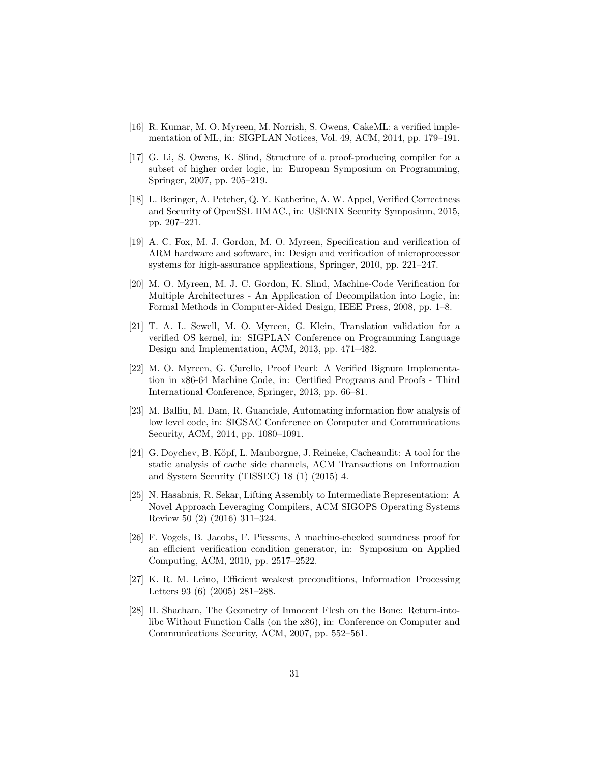- <span id="page-30-0"></span>[16] R. Kumar, M. O. Myreen, M. Norrish, S. Owens, CakeML: a verified implementation of ML, in: SIGPLAN Notices, Vol. 49, ACM, 2014, pp. 179–191.
- <span id="page-30-1"></span>[17] G. Li, S. Owens, K. Slind, Structure of a proof-producing compiler for a subset of higher order logic, in: European Symposium on Programming, Springer, 2007, pp. 205–219.
- <span id="page-30-2"></span>[18] L. Beringer, A. Petcher, Q. Y. Katherine, A. W. Appel, Verified Correctness and Security of OpenSSL HMAC., in: USENIX Security Symposium, 2015, pp. 207–221.
- <span id="page-30-3"></span>[19] A. C. Fox, M. J. Gordon, M. O. Myreen, Specification and verification of ARM hardware and software, in: Design and verification of microprocessor systems for high-assurance applications, Springer, 2010, pp. 221–247.
- <span id="page-30-4"></span>[20] M. O. Myreen, M. J. C. Gordon, K. Slind, Machine-Code Verification for Multiple Architectures - An Application of Decompilation into Logic, in: Formal Methods in Computer-Aided Design, IEEE Press, 2008, pp. 1–8.
- <span id="page-30-5"></span>[21] T. A. L. Sewell, M. O. Myreen, G. Klein, Translation validation for a verified OS kernel, in: SIGPLAN Conference on Programming Language Design and Implementation, ACM, 2013, pp. 471–482.
- <span id="page-30-6"></span>[22] M. O. Myreen, G. Curello, Proof Pearl: A Verified Bignum Implementation in x86-64 Machine Code, in: Certified Programs and Proofs - Third International Conference, Springer, 2013, pp. 66–81.
- <span id="page-30-7"></span>[23] M. Balliu, M. Dam, R. Guanciale, Automating information flow analysis of low level code, in: SIGSAC Conference on Computer and Communications Security, ACM, 2014, pp. 1080–1091.
- <span id="page-30-8"></span>[24] G. Doychev, B. Köpf, L. Mauborgne, J. Reineke, Cacheaudit: A tool for the static analysis of cache side channels, ACM Transactions on Information and System Security (TISSEC) 18 (1) (2015) 4.
- <span id="page-30-9"></span>[25] N. Hasabnis, R. Sekar, Lifting Assembly to Intermediate Representation: A Novel Approach Leveraging Compilers, ACM SIGOPS Operating Systems Review 50 (2) (2016) 311–324.
- <span id="page-30-10"></span>[26] F. Vogels, B. Jacobs, F. Piessens, A machine-checked soundness proof for an efficient verification condition generator, in: Symposium on Applied Computing, ACM, 2010, pp. 2517–2522.
- <span id="page-30-11"></span>[27] K. R. M. Leino, Efficient weakest preconditions, Information Processing Letters 93 (6) (2005) 281–288.
- <span id="page-30-12"></span>[28] H. Shacham, The Geometry of Innocent Flesh on the Bone: Return-intolibc Without Function Calls (on the x86), in: Conference on Computer and Communications Security, ACM, 2007, pp. 552–561.